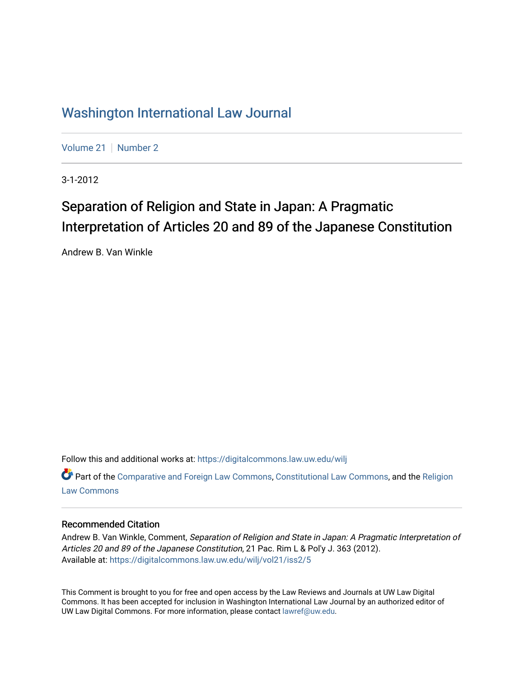## [Washington International Law Journal](https://digitalcommons.law.uw.edu/wilj)

[Volume 21](https://digitalcommons.law.uw.edu/wilj/vol21) | [Number 2](https://digitalcommons.law.uw.edu/wilj/vol21/iss2)

3-1-2012

# Separation of Religion and State in Japan: A Pragmatic Interpretation of Articles 20 and 89 of the Japanese Constitution

Andrew B. Van Winkle

Follow this and additional works at: [https://digitalcommons.law.uw.edu/wilj](https://digitalcommons.law.uw.edu/wilj?utm_source=digitalcommons.law.uw.edu%2Fwilj%2Fvol21%2Fiss2%2F5&utm_medium=PDF&utm_campaign=PDFCoverPages) 

Part of the [Comparative and Foreign Law Commons,](http://network.bepress.com/hgg/discipline/836?utm_source=digitalcommons.law.uw.edu%2Fwilj%2Fvol21%2Fiss2%2F5&utm_medium=PDF&utm_campaign=PDFCoverPages) [Constitutional Law Commons,](http://network.bepress.com/hgg/discipline/589?utm_source=digitalcommons.law.uw.edu%2Fwilj%2Fvol21%2Fiss2%2F5&utm_medium=PDF&utm_campaign=PDFCoverPages) and the [Religion](http://network.bepress.com/hgg/discipline/872?utm_source=digitalcommons.law.uw.edu%2Fwilj%2Fvol21%2Fiss2%2F5&utm_medium=PDF&utm_campaign=PDFCoverPages) [Law Commons](http://network.bepress.com/hgg/discipline/872?utm_source=digitalcommons.law.uw.edu%2Fwilj%2Fvol21%2Fiss2%2F5&utm_medium=PDF&utm_campaign=PDFCoverPages) 

#### Recommended Citation

Andrew B. Van Winkle, Comment, Separation of Religion and State in Japan: A Pragmatic Interpretation of Articles 20 and 89 of the Japanese Constitution, 21 Pac. Rim L & Pol'y J. 363 (2012). Available at: [https://digitalcommons.law.uw.edu/wilj/vol21/iss2/5](https://digitalcommons.law.uw.edu/wilj/vol21/iss2/5?utm_source=digitalcommons.law.uw.edu%2Fwilj%2Fvol21%2Fiss2%2F5&utm_medium=PDF&utm_campaign=PDFCoverPages) 

This Comment is brought to you for free and open access by the Law Reviews and Journals at UW Law Digital Commons. It has been accepted for inclusion in Washington International Law Journal by an authorized editor of UW Law Digital Commons. For more information, please contact [lawref@uw.edu](mailto:lawref@uw.edu).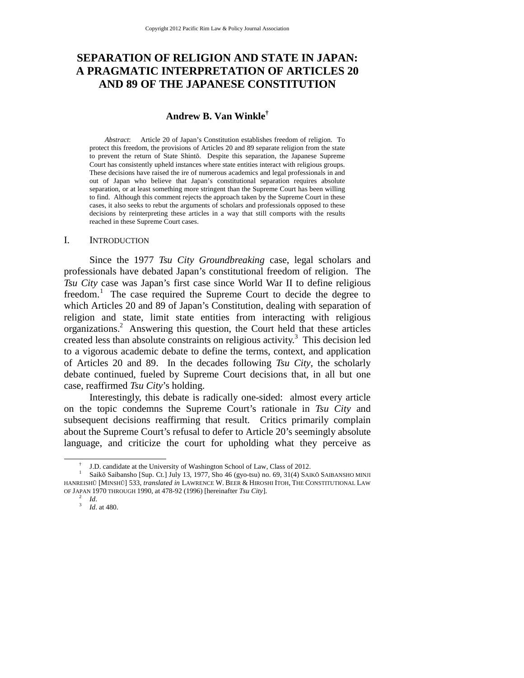## **SEPARATION OF RELIGION AND STATE IN JAPAN: A PRAGMATIC INTERPRETATION OF ARTICLES 20 AND 89 OF THE JAPANESE CONSTITUTION**

#### **Andrew B. Van Winkle†**

*Abstract*: Article 20 of Japan's Constitution establishes freedom of religion. To protect this freedom, the provisions of Articles 20 and 89 separate religion from the state to prevent the return of State Shintō. Despite this separation, the Japanese Supreme Court has consistently upheld instances where state entities interact with religious groups. These decisions have raised the ire of numerous academics and legal professionals in and out of Japan who believe that Japan's constitutional separation requires absolute separation, or at least something more stringent than the Supreme Court has been willing to find. Although this comment rejects the approach taken by the Supreme Court in these cases, it also seeks to rebut the arguments of scholars and professionals opposed to these decisions by reinterpreting these articles in a way that still comports with the results reached in these Supreme Court cases.

#### I. INTRODUCTION

Since the 1977 *Tsu City Groundbreaking* case, legal scholars and professionals have debated Japan's constitutional freedom of religion. The *Tsu City* case was Japan's first case since World War II to define religious freedom.<sup>1</sup> The case required the Supreme Court to decide the degree to which Articles 20 and 89 of Japan's Constitution, dealing with separation of religion and state, limit state entities from interacting with religious organizations.<sup>2</sup> Answering this question, the Court held that these articles created less than absolute constraints on religious activity.<sup>3</sup> This decision led to a vigorous academic debate to define the terms, context, and application of Articles 20 and 89. In the decades following *Tsu City*, the scholarly debate continued, fueled by Supreme Court decisions that, in all but one case, reaffirmed *Tsu City*'s holding.

Interestingly, this debate is radically one-sided: almost every article on the topic condemns the Supreme Court's rationale in *Tsu City* and subsequent decisions reaffirming that result. Critics primarily complain about the Supreme Court's refusal to defer to Article 20's seemingly absolute language, and criticize the court for upholding what they perceive as

 $\overline{\phantom{a}}$ J.D. candidate at the University of Washington School of Law, Class of 2012.

<sup>&</sup>lt;sup>1</sup> Saikō Saibansho [Sup. Ct.] July 13, 1977, Sho 46 (gyo-tsu) no. 69, 31(4) SAIKŌ SAIBANSHO MINJI HANREISHŪ [MINSHŪ] 533, *translated in* LAWRENCE W. BEER & HIROSHI ITOH, THE CONSTITUTIONAL LAW OF JAPAN 1970 THROUGH 1990, at 478-92 (1996) [hereinafter *Tsu City*]. 2 *Id*. 3 *Id*. at 480.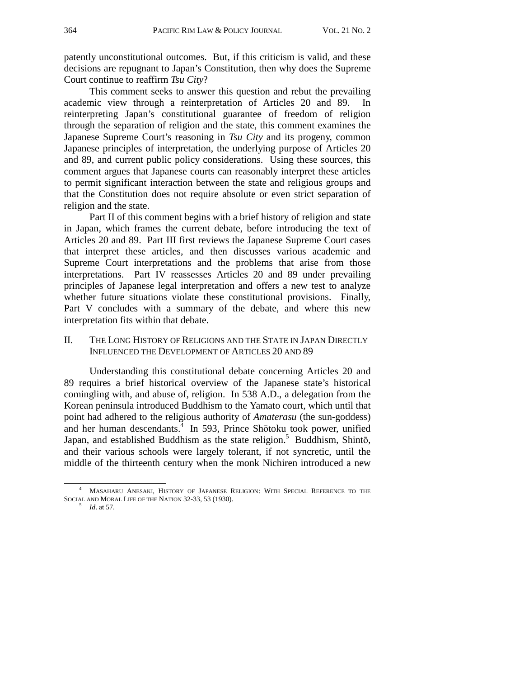patently unconstitutional outcomes. But, if this criticism is valid, and these decisions are repugnant to Japan's Constitution, then why does the Supreme Court continue to reaffirm *Tsu City*?

This comment seeks to answer this question and rebut the prevailing academic view through a reinterpretation of Articles 20 and 89. In reinterpreting Japan's constitutional guarantee of freedom of religion through the separation of religion and the state, this comment examines the Japanese Supreme Court's reasoning in *Tsu City* and its progeny, common Japanese principles of interpretation, the underlying purpose of Articles 20 and 89, and current public policy considerations. Using these sources, this comment argues that Japanese courts can reasonably interpret these articles to permit significant interaction between the state and religious groups and that the Constitution does not require absolute or even strict separation of religion and the state.

Part II of this comment begins with a brief history of religion and state in Japan, which frames the current debate, before introducing the text of Articles 20 and 89. Part III first reviews the Japanese Supreme Court cases that interpret these articles, and then discusses various academic and Supreme Court interpretations and the problems that arise from those interpretations. Part IV reassesses Articles 20 and 89 under prevailing principles of Japanese legal interpretation and offers a new test to analyze whether future situations violate these constitutional provisions. Finally, Part V concludes with a summary of the debate, and where this new interpretation fits within that debate.

#### II. THE LONG HISTORY OF RELIGIONS AND THE STATE IN JAPAN DIRECTLY INFLUENCED THE DEVELOPMENT OF ARTICLES 20 AND 89

Understanding this constitutional debate concerning Articles 20 and 89 requires a brief historical overview of the Japanese state's historical comingling with, and abuse of, religion. In 538 A.D., a delegation from the Korean peninsula introduced Buddhism to the Yamato court, which until that point had adhered to the religious authority of *Amaterasu* (the sun-goddess) and her human descendants.<sup>4</sup> In 593, Prince Shōtoku took power, unified Japan, and established Buddhism as the state religion.<sup>5</sup> Buddhism, Shintō, and their various schools were largely tolerant, if not syncretic, until the middle of the thirteenth century when the monk Nichiren introduced a new

 <sup>4</sup> MASAHARU ANESAKI, HISTORY OF JAPANESE RELIGION: WITH SPECIAL REFERENCE TO THE SOCIAL AND MORAL LIFE OF THE NATION 32-33, 53 (1930).<br><sup>5</sup> *Id.* at 57.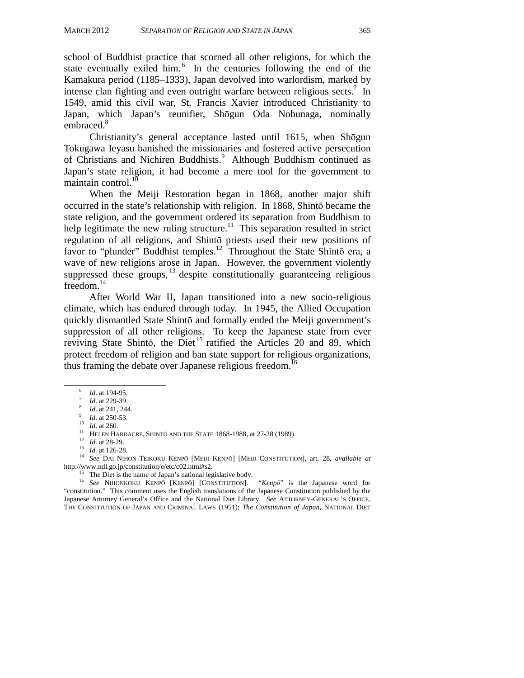school of Buddhist practice that scorned all other religions, for which the state eventually exiled him.<sup>6</sup> In the centuries following the end of the Kamakura period (1185–1333), Japan devolved into warlordism, marked by intense clan fighting and even outright warfare between religious sects.<sup>7</sup> In 1549, amid this civil war, St. Francis Xavier introduced Christianity to Japan, which Japan's reunifier, Shōgun Oda Nobunaga, nominally embraced.<sup>8</sup>

Christianity's general acceptance lasted until 1615, when Shōgun Tokugawa Ieyasu banished the missionaries and fostered active persecution of Christians and Nichiren Buddhists.<sup>9</sup> Although Buddhism continued as Japan's state religion, it had become a mere tool for the government to maintain control. $^{10}$ 

When the Meiji Restoration began in 1868, another major shift occurred in the state's relationship with religion. In 1868, Shintō became the state religion, and the government ordered its separation from Buddhism to help legitimate the new ruling structure.<sup>11</sup> This separation resulted in strict regulation of all religions, and Shintō priests used their new positions of favor to "plunder" Buddhist temples.<sup>12</sup> Throughout the State Shintō era, a wave of new religions arose in Japan. However, the government violently suppressed these groups,  $^{13}$  despite constitutionally guaranteeing religious freedom.<sup>14</sup>

After World War II, Japan transitioned into a new socio-religious climate, which has endured through today. In 1945, the Allied Occupation quickly dismantled State Shintō and formally ended the Meiji government's suppression of all other religions. To keep the Japanese state from ever reviving State Shintō, the Diet<sup>15</sup> ratified the Articles 20 and 89, which protect freedom of religion and ban state support for religious organizations, thus framing the debate over Japanese religious freedom.<sup>16</sup>

<sup>6</sup> *Id.* at 194-95.<br>
<sup>7</sup> *Id.* at 229-39.<br>
<sup>8</sup> *Id.* at 241, 244.<br>
<sup>9</sup> *Id.* at 250-53.<br>
<sup>10</sup> *Id.* at 260.<br>
<sup>11</sup> HELEN HARDACRE, SHINTŌ AND THE STATE 1868-1988, at 27-28 (1989).<br>
<sup>12</sup> *Id.* at 28-29.<br>
<sup>13</sup> *Id.* at 126-

 $h<sup>15</sup>$  The Diet is the name of Japan's national legislative body.

<sup>16</sup> *See* NIHONKOKU KENP<sup>Ō</sup> [KENPŌ] [CONSTITUTION]. "*Kenpō*" is the Japanese word for "constitution." This comment uses the English translations of the Japanese Constitution published by the Japanese Attorney General's Office and the National Diet Library. *See* ATTORNEY-GENERAL'S OFFICE, THE CONSTITUTION OF JAPAN AND CRIMINAL LAWS (1951); *The Constitution of Japan*, NATIONAL DIET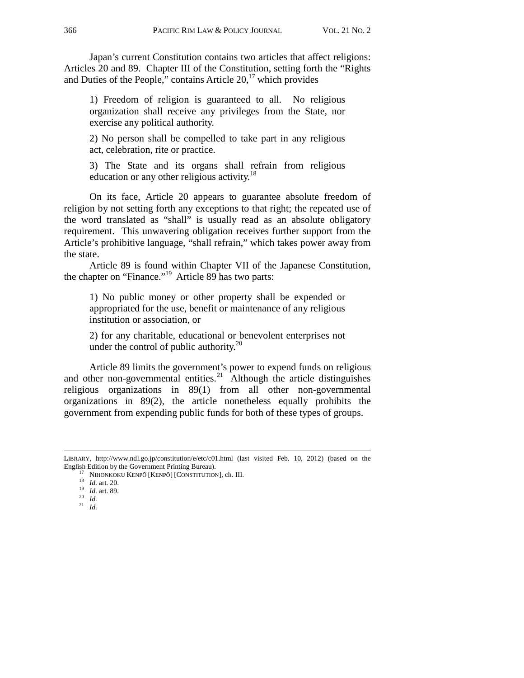Japan's current Constitution contains two articles that affect religions: Articles 20 and 89. Chapter III of the Constitution, setting forth the "Rights and Duties of the People," contains Article  $20$ ,  $\frac{17}{17}$  which provides

1) Freedom of religion is guaranteed to all. No religious organization shall receive any privileges from the State, nor exercise any political authority.

2) No person shall be compelled to take part in any religious act, celebration, rite or practice.

3) The State and its organs shall refrain from religious education or any other religious activity.<sup>18</sup>

On its face, Article 20 appears to guarantee absolute freedom of religion by not setting forth any exceptions to that right; the repeated use of the word translated as "shall" is usually read as an absolute obligatory requirement. This unwavering obligation receives further support from the Article's prohibitive language, "shall refrain," which takes power away from the state.

Article 89 is found within Chapter VII of the Japanese Constitution, the chapter on "Finance."19 Article 89 has two parts:

1) No public money or other property shall be expended or appropriated for the use, benefit or maintenance of any religious institution or association, or

2) for any charitable, educational or benevolent enterprises not under the control of public authority. $^{20}$ 

Article 89 limits the government's power to expend funds on religious and other non-governmental entities.<sup>21</sup> Although the article distinguishes religious organizations in 89(1) from all other non-governmental organizations in 89(2), the article nonetheless equally prohibits the government from expending public funds for both of these types of groups.

j

LIBRARY, http://www.ndl.go.jp/constitution/e/etc/c01.html (last visited Feb. 10, 2012) (based on the English Edition by the Government Printing Bureau).

<sup>&</sup>lt;sup>17</sup> NIHONKOKU KENPŌ [KENPŌ] [CONSTITUTION], ch. III.<br><sup>18</sup> *Id.* art. 20. <sup>19</sup> *Id.* art. 89. <sup>20</sup> *Id. II. Id.* <sup>21</sup> *Id.* 2<sup>1</sup> *Id.* 21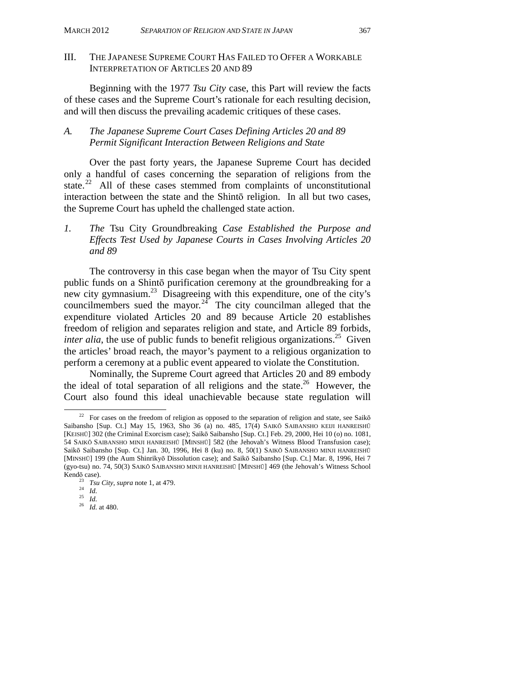#### III. THE JAPANESE SUPREME COURT HAS FAILED TO OFFER A WORKABLE INTERPRETATION OF ARTICLES 20 AND 89

Beginning with the 1977 *Tsu City* case, this Part will review the facts of these cases and the Supreme Court's rationale for each resulting decision, and will then discuss the prevailing academic critiques of these cases.

#### *A. The Japanese Supreme Court Cases Defining Articles 20 and 89 Permit Significant Interaction Between Religions and State*

Over the past forty years, the Japanese Supreme Court has decided only a handful of cases concerning the separation of religions from the state.<sup>22</sup> All of these cases stemmed from complaints of unconstitutional interaction between the state and the Shintō religion. In all but two cases, the Supreme Court has upheld the challenged state action.

*1. The* Tsu City Groundbreaking *Case Established the Purpose and Effects Test Used by Japanese Courts in Cases Involving Articles 20 and 89* 

The controversy in this case began when the mayor of Tsu City spent public funds on a Shintō purification ceremony at the groundbreaking for a new city gymnasium.23 Disagreeing with this expenditure, one of the city's councilmembers sued the mayor.<sup>24</sup> The city councilman alleged that the expenditure violated Articles 20 and 89 because Article 20 establishes freedom of religion and separates religion and state, and Article 89 forbids, *inter alia*, the use of public funds to benefit religious organizations.<sup>25</sup> Given the articles' broad reach, the mayor's payment to a religious organization to perform a ceremony at a public event appeared to violate the Constitution.

Nominally, the Supreme Court agreed that Articles 20 and 89 embody the ideal of total separation of all religions and the state.<sup>26</sup> However, the Court also found this ideal unachievable because state regulation will

<sup>&</sup>lt;sup>22</sup> For cases on the freedom of religion as opposed to the separation of religion and state, see Saikō Saibansho [Sup. Ct.] May 15, 1963, Sho 36 (a) no. 485, 17(4) SAIKŌ SAIBANSHO KEIJI HANREISHŪ [KEISHŪ] 302 (the Criminal Exorcism case); Saikō Saibansho [Sup. Ct.] Feb. 29, 2000, Hei 10 (o) no. 1081, 54 SAIKŌ SAIBANSHO MINJI HANREISHŪ [MINSHŪ] 582 (the Jehovah's Witness Blood Transfusion case); Saikō Saibansho [Sup. Ct.] Jan. 30, 1996, Hei 8 (ku) no. 8, 50(1) SAIKŌ SAIBANSHO MINJI HANREISHŪ [MINSHŪ] 199 (the Aum Shinrikyō Dissolution case); and Saikō Saibansho [Sup. Ct.] Mar. 8, 1996, Hei 7 (gyo-tsu) no. 74, 50(3) SAIKŌ SAIBANSHO MINJI HANREISHŪ [MINSHŪ] 469 (the Jehovah's Witness School Kendō case).

<sup>23</sup> *Tsu City*, *supra* note 1, at 479. 24 *Id.* <sup>25</sup> *Id.*<sup>26</sup> *Id.* at 480.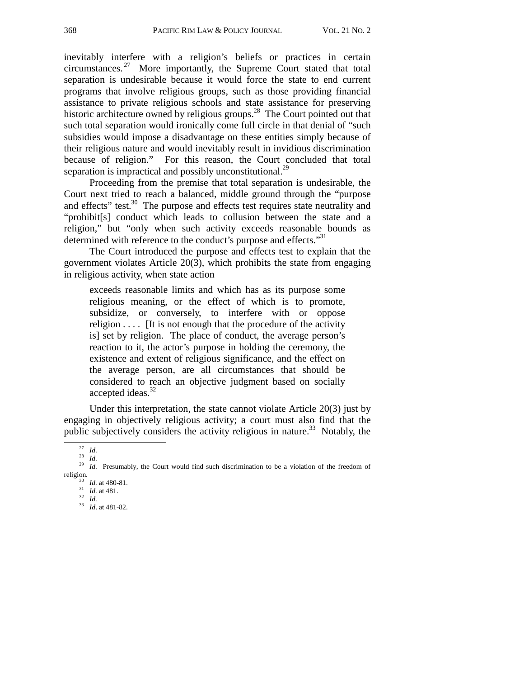inevitably interfere with a religion's beliefs or practices in certain circumstances. 27 More importantly, the Supreme Court stated that total separation is undesirable because it would force the state to end current programs that involve religious groups, such as those providing financial assistance to private religious schools and state assistance for preserving historic architecture owned by religious groups.<sup>28</sup> The Court pointed out that such total separation would ironically come full circle in that denial of "such subsidies would impose a disadvantage on these entities simply because of their religious nature and would inevitably result in invidious discrimination because of religion." For this reason, the Court concluded that total separation is impractical and possibly unconstitutional.<sup>29</sup>

Proceeding from the premise that total separation is undesirable, the Court next tried to reach a balanced, middle ground through the "purpose and effects" test.<sup>30</sup> The purpose and effects test requires state neutrality and "prohibit[s] conduct which leads to collusion between the state and a religion," but "only when such activity exceeds reasonable bounds as determined with reference to the conduct's purpose and effects."<sup>31</sup>

The Court introduced the purpose and effects test to explain that the government violates Article 20(3), which prohibits the state from engaging in religious activity, when state action

exceeds reasonable limits and which has as its purpose some religious meaning, or the effect of which is to promote, subsidize, or conversely, to interfere with or oppose religion . . . . [It is not enough that the procedure of the activity is] set by religion. The place of conduct, the average person's reaction to it, the actor's purpose in holding the ceremony, the existence and extent of religious significance, and the effect on the average person, are all circumstances that should be considered to reach an objective judgment based on socially accepted ideas.<sup>32</sup>

Under this interpretation, the state cannot violate Article 20(3) just by engaging in objectively religious activity; a court must also find that the public subjectively considers the activity religious in nature.<sup>33</sup> Notably, the

<sup>&</sup>lt;sup>27</sup> *Id.* 28 *Id.* 29 *Id.* Presumably, the Court would find such discrimination to be a violation of the freedom of religion.

religion. 30 *Id.* at 480-81. 31 *Id.* at 481. 32 *Id.* <sup>33</sup> *Id*. at 481-82.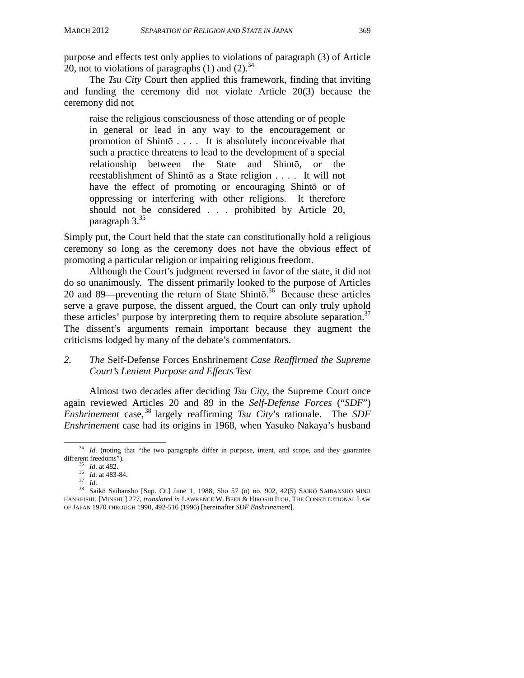purpose and effects test only applies to violations of paragraph (3) of Article 20, not to violations of paragraphs  $(1)$  and  $(2)$ .<sup>34</sup>

The *Tsu City* Court then applied this framework, finding that inviting and funding the ceremony did not violate Article 20(3) because the ceremony did not

raise the religious consciousness of those attending or of people in general or lead in any way to the encouragement or promotion of Shintō . . . . It is absolutely inconceivable that such a practice threatens to lead to the development of a special relationship between the State and Shintō, or the reestablishment of Shintō as a State religion . . . . It will not have the effect of promoting or encouraging Shinto or of oppressing or interfering with other religions. It therefore should not be considered . . . prohibited by Article 20, paragraph 3.<sup>35</sup>

Simply put, the Court held that the state can constitutionally hold a religious ceremony so long as the ceremony does not have the obvious effect of promoting a particular religion or impairing religious freedom.

Although the Court's judgment reversed in favor of the state, it did not do so unanimously. The dissent primarily looked to the purpose of Articles 20 and 89—preventing the return of State Shintō.<sup>36</sup> Because these articles serve a grave purpose, the dissent argued, the Court can only truly uphold these articles' purpose by interpreting them to require absolute separation.<sup>37</sup> The dissent's arguments remain important because they augment the criticisms lodged by many of the debate's commentators.

#### *2. The* Self-Defense Forces Enshrinement *Case Reaffirmed the Supreme Court's Lenient Purpose and Effects Test*

Almost two decades after deciding *Tsu City*, the Supreme Court once again reviewed Articles 20 and 89 in the *Self-Defense Forces* ("*SDF*") *Enshrinement* case, 38 largely reaffirming *Tsu City*'s rationale. The *SDF Enshrinement* case had its origins in 1968, when Yasuko Nakaya's husband

<sup>&</sup>lt;sup>34</sup> *Id.* (noting that "the two paragraphs differ in purpose, intent, and scope, and they guarantee different freedoms").<br>
<sup>35</sup> *Id.* at 482.<br>
<sup>37</sup> *Id.*<br>
<sup>38</sup> Saikō Saibansho [Sup. Ct.] June 1, 1988, Sho 57 (o) no. 902, 42(5) SAIKŌ SAIBANSHO MINJI

HANREISHŪ [MINSHŪ] 277, *translated in* LAWRENCE W. BEER & HIROSHI ITOH, THE CONSTITUTIONAL LAW OF JAPAN 1970 THROUGH 1990, 492-516 (1996) [hereinafter *SDF Enshrinement*].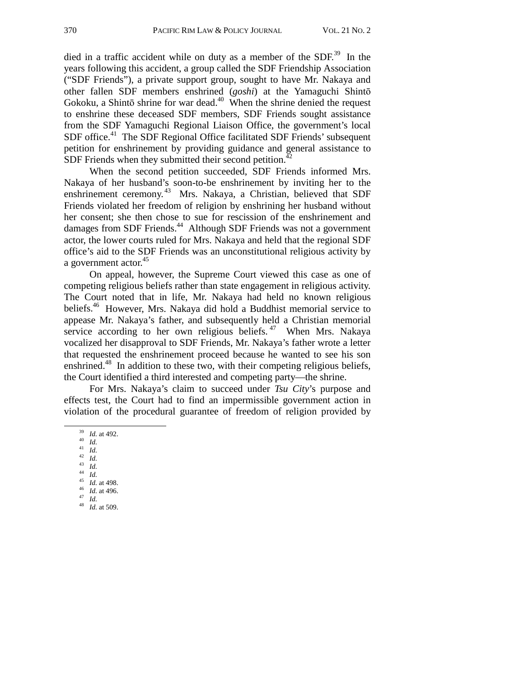died in a traffic accident while on duty as a member of the  $SDF<sup>39</sup>$ . In the years following this accident, a group called the SDF Friendship Association ("SDF Friends"), a private support group, sought to have Mr. Nakaya and other fallen SDF members enshrined (*goshi*) at the Yamaguchi Shintō Gokoku, a Shintō shrine for war dead. $40$  When the shrine denied the request to enshrine these deceased SDF members, SDF Friends sought assistance from the SDF Yamaguchi Regional Liaison Office, the government's local SDF office.<sup>41</sup> The SDF Regional Office facilitated SDF Friends' subsequent petition for enshrinement by providing guidance and general assistance to SDF Friends when they submitted their second petition. $42$ 

When the second petition succeeded, SDF Friends informed Mrs. Nakaya of her husband's soon-to-be enshrinement by inviting her to the enshrinement ceremony.<sup>43</sup> Mrs. Nakaya, a Christian, believed that SDF Friends violated her freedom of religion by enshrining her husband without her consent; she then chose to sue for rescission of the enshrinement and damages from SDF Friends.<sup>44</sup> Although SDF Friends was not a government actor, the lower courts ruled for Mrs. Nakaya and held that the regional SDF office's aid to the SDF Friends was an unconstitutional religious activity by a government actor.<sup>45</sup>

On appeal, however, the Supreme Court viewed this case as one of competing religious beliefs rather than state engagement in religious activity. The Court noted that in life, Mr. Nakaya had held no known religious beliefs.46 However, Mrs. Nakaya did hold a Buddhist memorial service to appease Mr. Nakaya's father, and subsequently held a Christian memorial service according to her own religious beliefs.  $47$  When Mrs. Nakaya vocalized her disapproval to SDF Friends, Mr. Nakaya's father wrote a letter that requested the enshrinement proceed because he wanted to see his son enshrined.<sup>48</sup> In addition to these two, with their competing religious beliefs, the Court identified a third interested and competing party—the shrine.

For Mrs. Nakaya's claim to succeed under *Tsu City*'s purpose and effects test, the Court had to find an impermissible government action in violation of the procedural guarantee of freedom of religion provided by

- 
- 
- 
- 39 *Id.* at 492. 40 *Id.* 41 *Id.* 42 *Id.* 43 *Id.* 44 *Id.* 45 *Id.* at 498. 46 *Id.* at 496. 47 *Id.* 48 *Id.* at 509.
	-
	-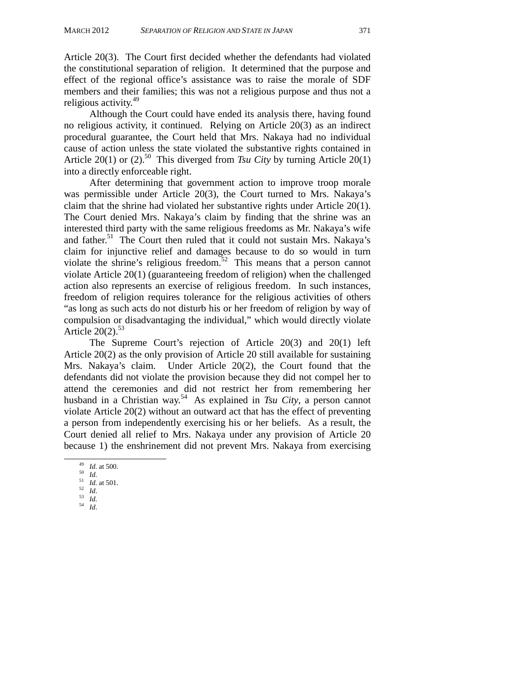Article 20(3). The Court first decided whether the defendants had violated the constitutional separation of religion. It determined that the purpose and effect of the regional office's assistance was to raise the morale of SDF members and their families; this was not a religious purpose and thus not a religious activity.<sup>49</sup>

Although the Court could have ended its analysis there, having found no religious activity, it continued. Relying on Article 20(3) as an indirect procedural guarantee, the Court held that Mrs. Nakaya had no individual cause of action unless the state violated the substantive rights contained in Article 20(1) or (2).<sup>50</sup> This diverged from *Tsu City* by turning Article 20(1) into a directly enforceable right.

After determining that government action to improve troop morale was permissible under Article 20(3), the Court turned to Mrs. Nakaya's claim that the shrine had violated her substantive rights under Article 20(1). The Court denied Mrs. Nakaya's claim by finding that the shrine was an interested third party with the same religious freedoms as Mr. Nakaya's wife and father.<sup>51</sup> The Court then ruled that it could not sustain Mrs. Nakaya's claim for injunctive relief and damages because to do so would in turn violate the shrine's religious freedom.<sup>52</sup> This means that a person cannot violate Article 20(1) (guaranteeing freedom of religion) when the challenged action also represents an exercise of religious freedom. In such instances, freedom of religion requires tolerance for the religious activities of others "as long as such acts do not disturb his or her freedom of religion by way of compulsion or disadvantaging the individual," which would directly violate Article  $20(2)$ .<sup>53</sup>

The Supreme Court's rejection of Article 20(3) and 20(1) left Article 20(2) as the only provision of Article 20 still available for sustaining Mrs. Nakaya's claim. Under Article 20(2), the Court found that the defendants did not violate the provision because they did not compel her to attend the ceremonies and did not restrict her from remembering her husband in a Christian way.54 As explained in *Tsu City*, a person cannot violate Article 20(2) without an outward act that has the effect of preventing a person from independently exercising his or her beliefs. As a result, the Court denied all relief to Mrs. Nakaya under any provision of Article 20 because 1) the enshrinement did not prevent Mrs. Nakaya from exercising

 <sup>49</sup> *Id.* at 500. 50 *Id.* 51 *Id.* at 501. 52 *Id*. 53 *Id.* 54 *Id*.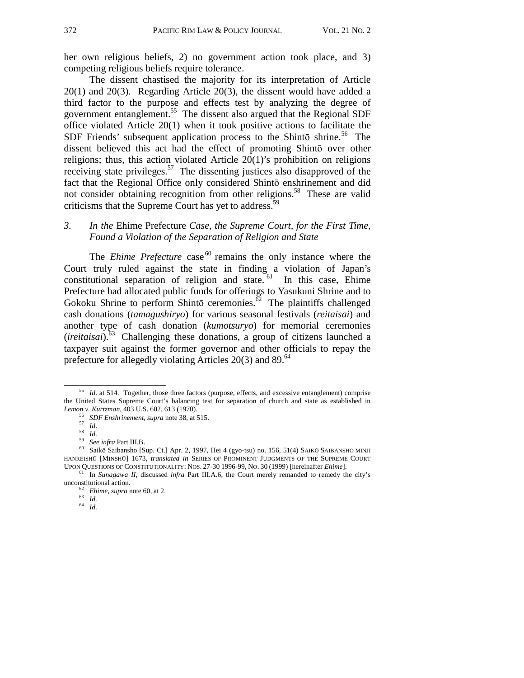her own religious beliefs, 2) no government action took place, and 3) competing religious beliefs require tolerance.

The dissent chastised the majority for its interpretation of Article 20(1) and 20(3). Regarding Article 20(3), the dissent would have added a third factor to the purpose and effects test by analyzing the degree of government entanglement.<sup>55</sup> The dissent also argued that the Regional SDF office violated Article 20(1) when it took positive actions to facilitate the SDF Friends' subsequent application process to the Shintō shrine.<sup>56</sup> The dissent believed this act had the effect of promoting Shintō over other religions; thus, this action violated Article 20(1)'s prohibition on religions receiving state privileges.<sup>57</sup> The dissenting justices also disapproved of the fact that the Regional Office only considered Shintō enshrinement and did not consider obtaining recognition from other religions.<sup>58</sup> These are valid criticisms that the Supreme Court has yet to address.<sup>59</sup>

#### *3. In the* Ehime Prefecture *Case, the Supreme Court, for the First Time, Found a Violation of the Separation of Religion and State*

The *Ehime Prefecture* case<sup>60</sup> remains the only instance where the Court truly ruled against the state in finding a violation of Japan's constitutional separation of religion and state.<sup>61</sup> In this case, Ehime Prefecture had allocated public funds for offerings to Yasukuni Shrine and to Gokoku Shrine to perform Shintō ceremonies.<sup> $\delta$ 2</sup> The plaintiffs challenged cash donations (*tamagushiryo*) for various seasonal festivals (*reitaisai*) and another type of cash donation (*kumotsuryo*) for memorial ceremonies (*ireitaisai*).63 Challenging these donations, a group of citizens launched a taxpayer suit against the former governor and other officials to repay the prefecture for allegedly violating Articles  $20(3)$  and  $89.^{64}$ 

<sup>&</sup>lt;sup>55</sup> *Id.* at 514. Together, those three factors (purpose, effects, and excessive entanglement) comprise the United States Supreme Court's balancing test for separation of church and state as established in *Lemon v. Kurtzman*, 403 U.S. 602, 613 (1970).

<sup>%</sup> SDF Enshrinement, supra note 38, at 515.<br>
57 Id.<br>
58 Id.<br>
59 See infra Part III.B.<br>
60 Saikō Saibansho [Sup. Ct.] Apr. 2, 1997, Hei 4 (gyo-tsu) no. 156, 51(4) SAIKŌ SAIBANSHO MINJI HANREISHU [MINSHU] 1673, *translated in* SERIES OF PROMINENT JUDGMENTS OF THE SUPREME COURT UPON QUESTIONS OF CONSTITUTIONALITY: NOS. 27-30 1996-99, NO. 30 (1999) [hereinafter *Ehime*].

<sup>&</sup>lt;sup>61</sup> In *Sunagawa II*, discussed *infra* Part III.A.6, the Court merely remanded to remedy the city's unconstitutional action.<br>
<sup>62</sup> *Ehime*, *supra* note 60, at 2.<br>
<sup>63</sup> *Id.*<br>
<sup>64</sup> *Id.*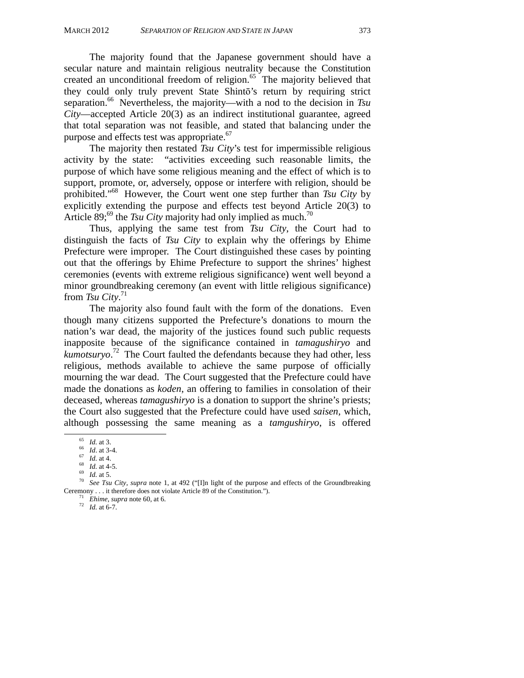The majority found that the Japanese government should have a secular nature and maintain religious neutrality because the Constitution created an unconditional freedom of religion.<sup>65</sup> The majority believed that they could only truly prevent State Shintō's return by requiring strict separation.<sup>66</sup> Nevertheless, the majority—with a nod to the decision in *Tsu City*—accepted Article 20(3) as an indirect institutional guarantee, agreed that total separation was not feasible, and stated that balancing under the purpose and effects test was appropriate.<sup>67</sup>

The majority then restated *Tsu City*'s test for impermissible religious activity by the state: "activities exceeding such reasonable limits, the purpose of which have some religious meaning and the effect of which is to support, promote, or, adversely, oppose or interfere with religion, should be prohibited."68 However, the Court went one step further than *Tsu City* by explicitly extending the purpose and effects test beyond Article 20(3) to Article 89;<sup>69</sup> the *Tsu City* majority had only implied as much.<sup>70</sup>

Thus, applying the same test from *Tsu City*, the Court had to distinguish the facts of *Tsu City* to explain why the offerings by Ehime Prefecture were improper. The Court distinguished these cases by pointing out that the offerings by Ehime Prefecture to support the shrines' highest ceremonies (events with extreme religious significance) went well beyond a minor groundbreaking ceremony (an event with little religious significance) from *Tsu City*. 71

The majority also found fault with the form of the donations. Even though many citizens supported the Prefecture's donations to mourn the nation's war dead, the majority of the justices found such public requests inapposite because of the significance contained in *tamagushiryo* and *kumotsuryo*. 72 The Court faulted the defendants because they had other, less religious, methods available to achieve the same purpose of officially mourning the war dead. The Court suggested that the Prefecture could have made the donations as *koden*, an offering to families in consolation of their deceased, whereas *tamagushiryo* is a donation to support the shrine's priests; the Court also suggested that the Prefecture could have used *saisen,* which, although possessing the same meaning as a *tamgushiryo*, is offered

 $\frac{71}{72}$  *Ehime, supra* note 60, at 6. 72 *Id.* at 6-7.

<sup>&</sup>lt;sup>65</sup> *Id.* at 3.<br>
<sup>66</sup> *Id.* at 3-4.<br>
<sup>67</sup> *Id.* at 4-5.<br>
<sup>69</sup> *Id.* at 4-5.<br>
<sup>70</sup> *See Tsu City, supra* note 1, at 492 ("[I]n light of the purpose and effects of the Groundbreaking<br>
Ceremony . . . it therefore does not v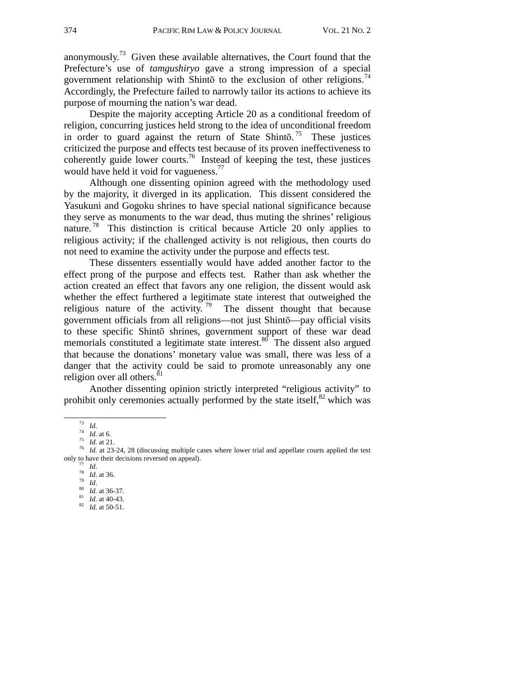anonymously.<sup>73</sup> Given these available alternatives, the Court found that the Prefecture's use of *tamgushiryo* gave a strong impression of a special government relationship with Shintō to the exclusion of other religions.<sup>74</sup> Accordingly, the Prefecture failed to narrowly tailor its actions to achieve its purpose of mourning the nation's war dead.

Despite the majority accepting Article 20 as a conditional freedom of religion, concurring justices held strong to the idea of unconditional freedom in order to guard against the return of State Shintō.<sup>75</sup> These justices criticized the purpose and effects test because of its proven ineffectiveness to coherently guide lower courts.<sup>76</sup> Instead of keeping the test, these justices would have held it void for vagueness.<sup>77</sup>

Although one dissenting opinion agreed with the methodology used by the majority, it diverged in its application. This dissent considered the Yasukuni and Gogoku shrines to have special national significance because they serve as monuments to the war dead, thus muting the shrines' religious nature.<sup>78</sup> This distinction is critical because Article 20 only applies to religious activity; if the challenged activity is not religious, then courts do not need to examine the activity under the purpose and effects test.

These dissenters essentially would have added another factor to the effect prong of the purpose and effects test. Rather than ask whether the action created an effect that favors any one religion, the dissent would ask whether the effect furthered a legitimate state interest that outweighed the religious nature of the activity.<sup>79</sup> The dissent thought that because government officials from all religions—not just Shintō—pay official visits to these specific Shintō shrines, government support of these war dead memorials constituted a legitimate state interest.<sup>80</sup> The dissent also argued that because the donations' monetary value was small, there was less of a danger that the activity could be said to promote unreasonably any one religion over all others.<sup>8</sup>

Another dissenting opinion strictly interpreted "religious activity" to prohibit only ceremonies actually performed by the state itself, $82$  which was

- 
- 
- 

<sup>&</sup>lt;sup>73</sup> *Id.*<br><sup>74</sup> *Id.* at 6.<br><sup>75</sup> *Id.* at 21.<br><sup>76</sup> *Id.* at 23-24, 28 (discussing multiple cases where lower trial and appellate courts applied the test only to have their decisions reversed on appeal).<br>
<sup>77</sup> *Id.*<br>
<sup>78</sup> *Id.* at 36.<br>
<sup>79</sup> *Id.* at 36-37.<br>
<sup>81</sup> *Id.* at 40-43.<br>
<sup>82</sup> *Id.* at 50-51.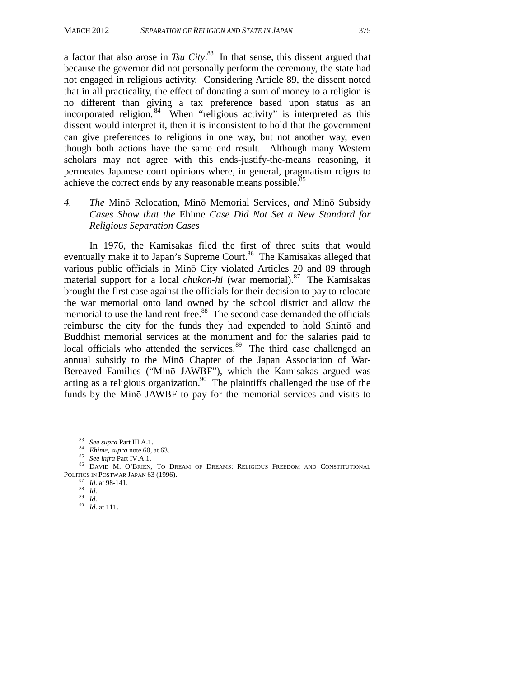a factor that also arose in *Tsu City*. 83 In that sense, this dissent argued that because the governor did not personally perform the ceremony, the state had not engaged in religious activity. Considering Article 89, the dissent noted that in all practicality, the effect of donating a sum of money to a religion is no different than giving a tax preference based upon status as an incorporated religion. 84 When "religious activity" is interpreted as this dissent would interpret it, then it is inconsistent to hold that the government can give preferences to religions in one way, but not another way, even though both actions have the same end result. Although many Western scholars may not agree with this ends-justify-the-means reasoning, it permeates Japanese court opinions where, in general, pragmatism reigns to achieve the correct ends by any reasonable means possible.<sup>85</sup>

*4. The* Minō Relocation*,* Minō Memorial Services*, and* Minō Subsidy *Cases Show that the* Ehime *Case Did Not Set a New Standard for Religious Separation Cases* 

In 1976, the Kamisakas filed the first of three suits that would eventually make it to Japan's Supreme Court.<sup>86</sup> The Kamisakas alleged that various public officials in Minō City violated Articles 20 and 89 through material support for a local *chukon-hi* (war memorial).<sup>87</sup> The Kamisakas brought the first case against the officials for their decision to pay to relocate the war memorial onto land owned by the school district and allow the memorial to use the land rent-free.<sup>88</sup> The second case demanded the officials reimburse the city for the funds they had expended to hold Shintō and Buddhist memorial services at the monument and for the salaries paid to local officials who attended the services. $89$  The third case challenged an annual subsidy to the Minō Chapter of the Japan Association of War-Bereaved Families ("Minō JAWBF"), which the Kamisakas argued was acting as a religious organization.<sup>90</sup> The plaintiffs challenged the use of the funds by the Minō JAWBF to pay for the memorial services and visits to

<sup>83</sup> *See supra* Part III.A.1.<br><sup>84</sup> *Ehime*, *supra* note 60, at 63.<br><sup>85</sup> *See infra* Part IV.A.1.<br><sup>86</sup> DAVID M. O'BRIEN, TO DREAM OF DREAMS: RELIGIOUS FREEDOM AND CONSTITUTIONAL POLITICS IN POSTWAR JAPAN 63 (1996).<br>
<sup>87</sup> *Id.* at 98-141.<br>
<sup>88</sup> *Id.*<br>
<sup>90</sup> *Id.* at 111.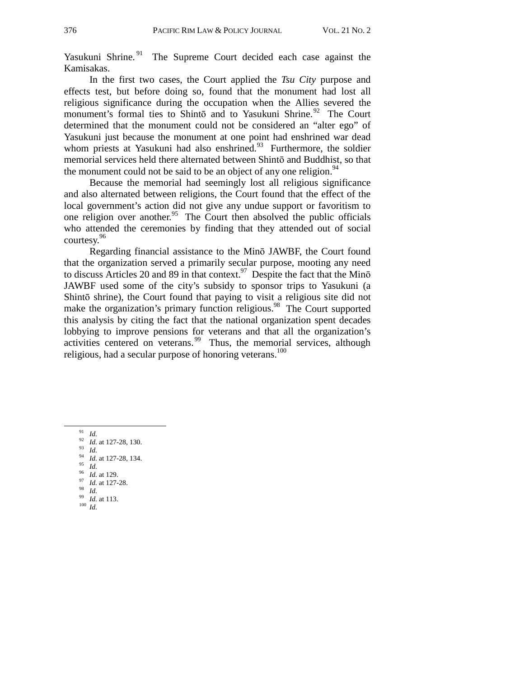Yasukuni Shrine.<sup>91</sup> The Supreme Court decided each case against the Kamisakas.

In the first two cases, the Court applied the *Tsu City* purpose and effects test, but before doing so, found that the monument had lost all religious significance during the occupation when the Allies severed the monument's formal ties to Shintō and to Yasukuni Shrine.<sup>92</sup> The Court determined that the monument could not be considered an "alter ego" of Yasukuni just because the monument at one point had enshrined war dead whom priests at Yasukuni had also enshrined. $93$  Furthermore, the soldier memorial services held there alternated between Shintō and Buddhist, so that the monument could not be said to be an object of any one religion.  $94$ 

Because the memorial had seemingly lost all religious significance and also alternated between religions, the Court found that the effect of the local government's action did not give any undue support or favoritism to one religion over another.<sup>95</sup> The Court then absolved the public officials who attended the ceremonies by finding that they attended out of social courtesy.<sup>96</sup>

Regarding financial assistance to the Minō JAWBF, the Court found that the organization served a primarily secular purpose, mooting any need to discuss Articles 20 and 89 in that context.<sup>97</sup> Despite the fact that the Min<sub>0</sub> JAWBF used some of the city's subsidy to sponsor trips to Yasukuni (a Shintō shrine), the Court found that paying to visit a religious site did not make the organization's primary function religious.<sup>98</sup> The Court supported this analysis by citing the fact that the national organization spent decades lobbying to improve pensions for veterans and that all the organization's activities centered on veterans.<sup>99</sup> Thus, the memorial services, although religious, had a secular purpose of honoring veterans.<sup>100</sup>

- 
- 
- 
- 
- 

<sup>91</sup> *Id.* 92 *Id.* at 127-28, 130.<br>
93 *Id.* <br>
94 *Id.* at 127-28, 134.<br>
95 *Id.* at 129.<br>
97 *Id.* at 127-28.<br>
98 *Id. Id.* at 113. 100 *Id*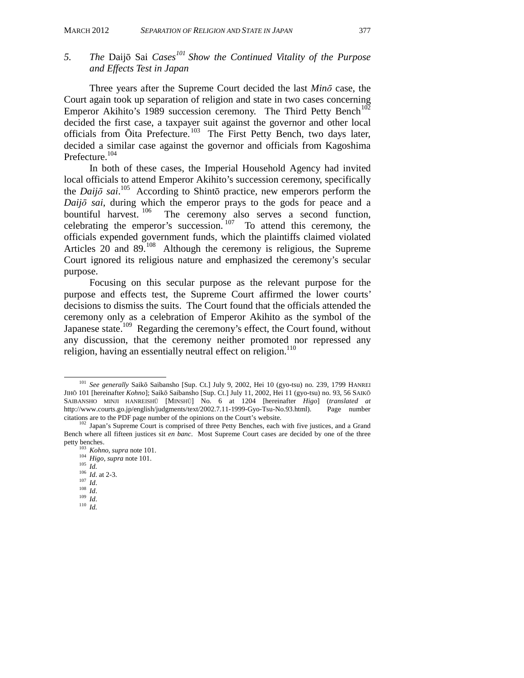*and Effects Test in Japan* 

## *5. The* Daijō Sai *Cases101 Show the Continued Vitality of the Purpose*

### Three years after the Supreme Court decided the last *Minō* case, the Court again took up separation of religion and state in two cases concerning Emperor Akihito's 1989 succession ceremony. The Third Petty Bench<sup>102</sup> decided the first case, a taxpayer suit against the governor and other local officials from Ōita Prefecture.103 The First Petty Bench, two days later, decided a similar case against the governor and officials from Kagoshima Prefecture.<sup>104</sup>

In both of these cases, the Imperial Household Agency had invited local officials to attend Emperor Akihito's succession ceremony, specifically the *Daijō sai*. 105 According to Shintō practice, new emperors perform the *Daijō sai*, during which the emperor prays to the gods for peace and a bountiful harvest. <sup>106</sup> The ceremony also serves a second function, The ceremony also serves a second function, celebrating the emperor's succession. 107 To attend this ceremony, the officials expended government funds, which the plaintiffs claimed violated Articles 20 and  $89.108$  Although the ceremony is religious, the Supreme Court ignored its religious nature and emphasized the ceremony's secular purpose.

Focusing on this secular purpose as the relevant purpose for the purpose and effects test, the Supreme Court affirmed the lower courts' decisions to dismiss the suits. The Court found that the officials attended the ceremony only as a celebration of Emperor Akihito as the symbol of the Japanese state.<sup>109</sup> Regarding the ceremony's effect, the Court found, without any discussion, that the ceremony neither promoted nor repressed any religion, having an essentially neutral effect on religion.<sup>110</sup>

 <sup>101</sup> *See generally* Saikō Saibansho [Sup. Ct.] July 9, 2002, Hei 10 (gyo-tsu) no. 239, 1799 HANREI JIHŌ 101 [hereinafter *Kohno*]; Saikō Saibansho [Sup. Ct.] July 11, 2002, Hei 11 (gyo-tsu) no. 93, 56 SAIKŌ SAIBANSHO MINJI HANREISHŪ [MINSHŪ] No. 6 at 1204 [hereinafter *Higo*] (*translated at* http://www.courts.go.jp/english/judgments/text/2002.7.11-1999-Gyo-Tsu-No.93.html). Page number http://www.courts.go.jp/english/judgments/text/2002.7.11-1999-Gyo-Tsu-No.93.html). citations are to the PDF page number of the opinions on the Court's website. 102 Japan's Supreme Court is comprised of three Petty Benches, each with five justices, and a Grand

Bench where all fifteen justices sit *en banc*. Most Supreme Court cases are decided by one of the three petty benches.<br>
<sup>103</sup> *Kohno*, *supra* note 101.<br>
<sup>105</sup> *Id.*<br>
<sup>106</sup> *Id.* at 2-3.<br>
<sup>107</sup> *Id.*<br>
<sup>108</sup> *Id.*<br>
<sup>109</sup> *Id.*<br>
<sup>110</sup> *Id.*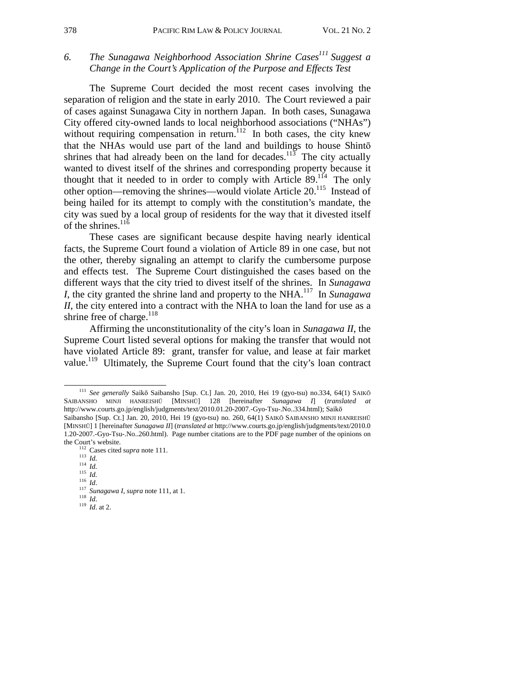## 6. The Sunagawa Neighborhood Association Shrine Cases<sup>111</sup> Suggest a *Change in the Court's Application of the Purpose and Effects Test*

The Supreme Court decided the most recent cases involving the separation of religion and the state in early 2010. The Court reviewed a pair of cases against Sunagawa City in northern Japan. In both cases, Sunagawa City offered city-owned lands to local neighborhood associations ("NHAs") without requiring compensation in return.<sup>112</sup> In both cases, the city knew that the NHAs would use part of the land and buildings to house Shintō shrines that had already been on the land for decades.<sup>113</sup> The city actually wanted to divest itself of the shrines and corresponding property because it thought that it needed to in order to comply with Article  $89$ .<sup>114</sup> The only other option—removing the shrines—would violate Article 20.115 Instead of being hailed for its attempt to comply with the constitution's mandate, the city was sued by a local group of residents for the way that it divested itself of the shrines. $116$ 

These cases are significant because despite having nearly identical facts, the Supreme Court found a violation of Article 89 in one case, but not the other, thereby signaling an attempt to clarify the cumbersome purpose and effects test. The Supreme Court distinguished the cases based on the different ways that the city tried to divest itself of the shrines. In *Sunagawa I*, the city granted the shrine land and property to the NHA.<sup>117</sup> In *Sunagawa II*, the city entered into a contract with the NHA to loan the land for use as a shrine free of charge. $^{118}$ 

Affirming the unconstitutionality of the city's loan in *Sunagawa II*, the Supreme Court listed several options for making the transfer that would not have violated Article 89: grant, transfer for value, and lease at fair market value.<sup>119</sup> Ultimately, the Supreme Court found that the city's loan contract

 <sup>111</sup> *See generally* Saikō Saibansho [Sup. Ct.] Jan. 20, 2010, Hei 19 (gyo-tsu) no.334, 64(1) SAIK<sup>Ō</sup> SAIBANSHO MINJI HANREISHŪ [MINSHŪ] 128 [hereinafter *Sunagawa I*] (*translated at* http://www.courts.go.jp/english/judgments/text/2010.01.20-2007.-Gyo-Tsu-.No..334.html); Saikō

Saibansho [Sup. Ct.] Jan. 20, 2010, Hei 19 (gyo-tsu) no. 260, 64(1) SAIKŌ SAIBANSHO MINJI HANREISHŪ [MINSHŪ] 1 [hereinafter *Sunagawa II*] (*translated at* http://www.courts.go.jp/english/judgments/text/2010.0 1.20-2007.-Gyo-Tsu-.No..260.html). Page number citations are to the PDF page number of the opinions on the Court's website.<br>
<sup>112</sup> Cases cited supra note 111.<br>
<sup>113</sup> *Id.*<br>
<sup>114</sup> *Id.*<br>
<sup>115</sup> *Id.*<br>
<sup>117</sup> *Sunagawa I*, *supra* note 111, at 1.<br>
<sup>118</sup> *Id.*<br>
<sup>119</sup> *Id.* at 2.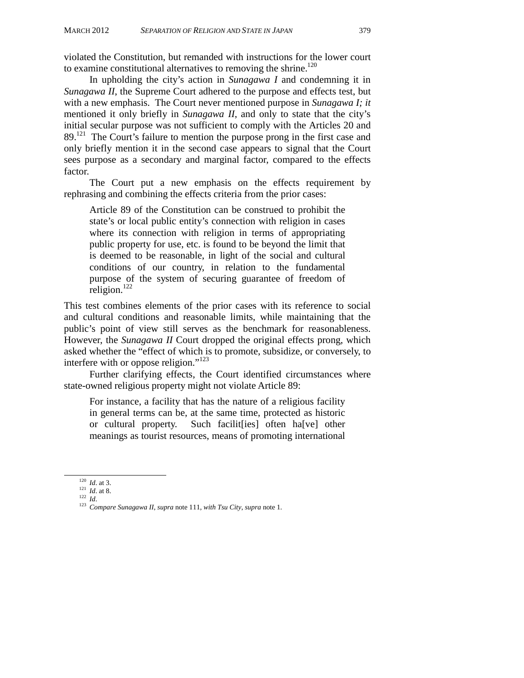violated the Constitution, but remanded with instructions for the lower court to examine constitutional alternatives to removing the shrine.<sup>120</sup>

In upholding the city's action in *Sunagawa I* and condemning it in *Sunagawa II*, the Supreme Court adhered to the purpose and effects test, but with a new emphasis. The Court never mentioned purpose in *Sunagawa I; it*  mentioned it only briefly in *Sunagawa II*, and only to state that the city's initial secular purpose was not sufficient to comply with the Articles 20 and  $89<sup>121</sup>$  The Court's failure to mention the purpose prong in the first case and only briefly mention it in the second case appears to signal that the Court sees purpose as a secondary and marginal factor, compared to the effects factor.

The Court put a new emphasis on the effects requirement by rephrasing and combining the effects criteria from the prior cases:

Article 89 of the Constitution can be construed to prohibit the state's or local public entity's connection with religion in cases where its connection with religion in terms of appropriating public property for use, etc. is found to be beyond the limit that is deemed to be reasonable, in light of the social and cultural conditions of our country, in relation to the fundamental purpose of the system of securing guarantee of freedom of religion. $^{122}$ 

This test combines elements of the prior cases with its reference to social and cultural conditions and reasonable limits, while maintaining that the public's point of view still serves as the benchmark for reasonableness. However, the *Sunagawa II* Court dropped the original effects prong, which asked whether the "effect of which is to promote, subsidize, or conversely, to interfere with or oppose religion."<sup>123</sup>

Further clarifying effects, the Court identified circumstances where state-owned religious property might not violate Article 89:

For instance, a facility that has the nature of a religious facility in general terms can be, at the same time, protected as historic or cultural property. Such facilit[ies] often ha[ve] other meanings as tourist resources, means of promoting international

<sup>120</sup> *Id*. at 3. 121 *Id*. at 8. 122 *Id*. 123 *Compare Sunagawa II*, *supra* note 111, *with Tsu City*, *supra* note 1.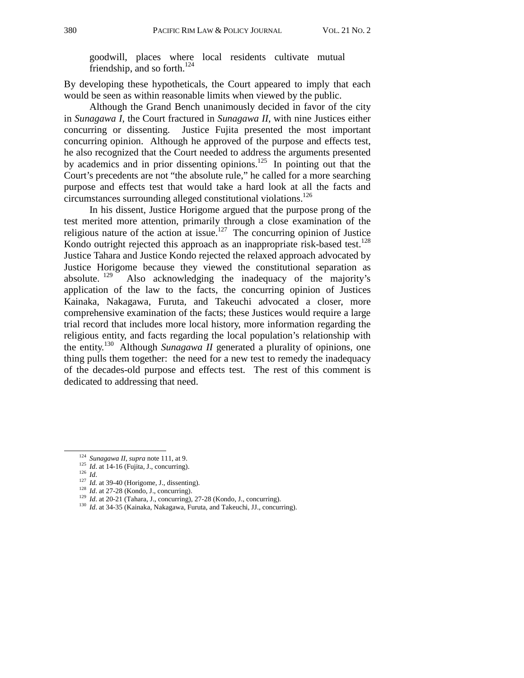goodwill, places where local residents cultivate mutual friendship, and so forth. $^{124}$ 

By developing these hypotheticals, the Court appeared to imply that each would be seen as within reasonable limits when viewed by the public.

Although the Grand Bench unanimously decided in favor of the city in *Sunagawa I*, the Court fractured in *Sunagawa II*, with nine Justices either concurring or dissenting. Justice Fujita presented the most important concurring opinion. Although he approved of the purpose and effects test, he also recognized that the Court needed to address the arguments presented by academics and in prior dissenting opinions.<sup>125</sup> In pointing out that the Court's precedents are not "the absolute rule," he called for a more searching purpose and effects test that would take a hard look at all the facts and circumstances surrounding alleged constitutional violations.126

In his dissent, Justice Horigome argued that the purpose prong of the test merited more attention, primarily through a close examination of the religious nature of the action at issue.<sup>127</sup> The concurring opinion of Justice Kondo outright rejected this approach as an inappropriate risk-based test.<sup>128</sup> Justice Tahara and Justice Kondo rejected the relaxed approach advocated by Justice Horigome because they viewed the constitutional separation as absolute. <sup>129</sup> Also acknowledging the inadequacy of the maiority's Also acknowledging the inadequacy of the majority's application of the law to the facts, the concurring opinion of Justices Kainaka, Nakagawa, Furuta, and Takeuchi advocated a closer, more comprehensive examination of the facts; these Justices would require a large trial record that includes more local history, more information regarding the religious entity, and facts regarding the local population's relationship with the entity.130 Although *Sunagawa II* generated a plurality of opinions, one thing pulls them together: the need for a new test to remedy the inadequacy of the decades-old purpose and effects test. The rest of this comment is dedicated to addressing that need.

- 
- 
- 
- <sup>124</sup> Sunagawa II, supra note 111, at 9.<br><sup>125</sup> Id. at 14-16 (Fujita, J., concurring).<br><sup>126</sup> Id.<br><sup>127</sup> Id. at 39-40 (Horigome, J., dissenting).<br><sup>128</sup> Id. at 27-28 (Kondo, J., concurring).<br><sup>129</sup> Id. at 20-21 (Tahara, J., co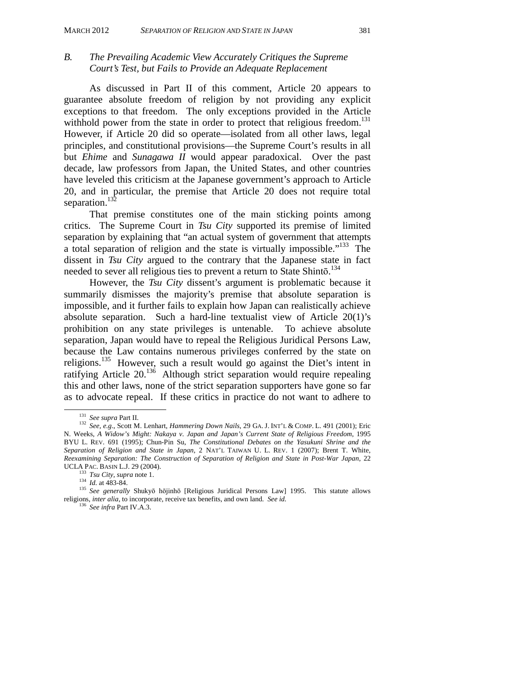### *B. The Prevailing Academic View Accurately Critiques the Supreme Court's Test, but Fails to Provide an Adequate Replacement*

As discussed in Part II of this comment, Article 20 appears to guarantee absolute freedom of religion by not providing any explicit exceptions to that freedom. The only exceptions provided in the Article withhold power from the state in order to protect that religious freedom.<sup>131</sup> However, if Article 20 did so operate—isolated from all other laws, legal principles, and constitutional provisions—the Supreme Court's results in all but *Ehime* and *Sunagawa II* would appear paradoxical. Over the past decade, law professors from Japan, the United States, and other countries have leveled this criticism at the Japanese government's approach to Article 20, and in particular, the premise that Article 20 does not require total separation.<sup>132</sup>

That premise constitutes one of the main sticking points among critics. The Supreme Court in *Tsu City* supported its premise of limited separation by explaining that "an actual system of government that attempts a total separation of religion and the state is virtually impossible."133 The dissent in *Tsu City* argued to the contrary that the Japanese state in fact needed to sever all religious ties to prevent a return to State Shintō. 134

However, the *Tsu City* dissent's argument is problematic because it summarily dismisses the majority's premise that absolute separation is impossible, and it further fails to explain how Japan can realistically achieve absolute separation. Such a hard-line textualist view of Article 20(1)'s prohibition on any state privileges is untenable. To achieve absolute separation, Japan would have to repeal the Religious Juridical Persons Law, because the Law contains numerous privileges conferred by the state on religions.<sup>135</sup> However, such a result would go against the Diet's intent in ratifying Article 20.136 Although strict separation would require repealing this and other laws, none of the strict separation supporters have gone so far as to advocate repeal. If these critics in practice do not want to adhere to

<sup>131</sup> *See supra* Part II. 132 *See, e.g*., Scott M. Lenhart, *Hammering Down Nails*, 29 GA. J. INT'L & COMP. L. 491 (2001); Eric N. Weeks, *A Widow's Might: Nakaya v. Japan and Japan's Current State of Religious Freedom*, 1995 BYU L. REV. 691 (1995); Chun-Pin Su, *The Constitutional Debates on the Yasukuni Shrine and the Separation of Religion and State in Japan*, 2 NAT'L TAIWAN U. L. REV. 1 (2007); Brent T. White, *Reexamining Separation: The Construction of Separation of Religion and State in Post-War Japan*, 22

UCLA PAC. BASIN L.J. 29 (2004). 133 *Tsu City*, *supra* note 1. 134 *Id.* at 483-84. 135 *See generally* Shukyō hōjinhō [Religious Juridical Persons Law] 1995. This statute allows religions, *inter alia*, to incorporate, receive tax benefits, and own land. *See id.* <sup>136</sup> *See infra* Part IV.A.3.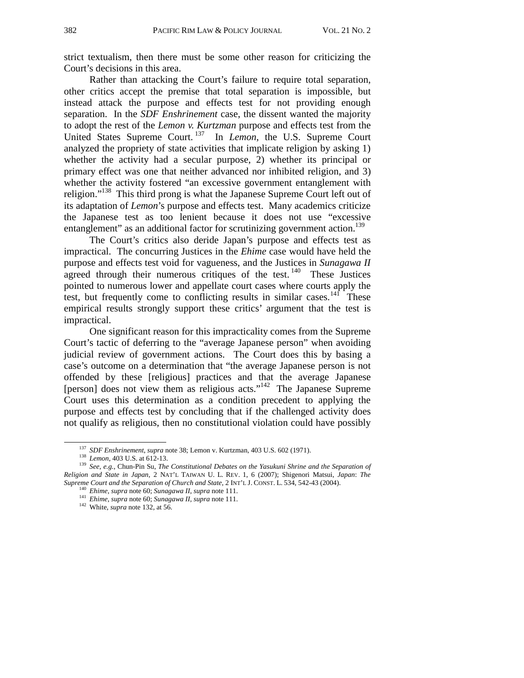strict textualism, then there must be some other reason for criticizing the Court's decisions in this area.

Rather than attacking the Court's failure to require total separation, other critics accept the premise that total separation is impossible, but instead attack the purpose and effects test for not providing enough separation. In the *SDF Enshrinement* case, the dissent wanted the majority to adopt the rest of the *Lemon v. Kurtzman* purpose and effects test from the United States Supreme Court.<sup>137</sup> In *Lemon*, the U.S. Supreme Court analyzed the propriety of state activities that implicate religion by asking 1) whether the activity had a secular purpose, 2) whether its principal or primary effect was one that neither advanced nor inhibited religion, and 3) whether the activity fostered "an excessive government entanglement with religion."138 This third prong is what the Japanese Supreme Court left out of its adaptation of *Lemon*'s purpose and effects test. Many academics criticize the Japanese test as too lenient because it does not use "excessive entanglement" as an additional factor for scrutinizing government action.<sup>139</sup>

The Court's critics also deride Japan's purpose and effects test as impractical. The concurring Justices in the *Ehime* case would have held the purpose and effects test void for vagueness, and the Justices in *Sunagawa II* agreed through their numerous critiques of the test.<sup>140</sup> These Justices pointed to numerous lower and appellate court cases where courts apply the test, but frequently come to conflicting results in similar cases.<sup>141</sup> These empirical results strongly support these critics' argument that the test is impractical.

One significant reason for this impracticality comes from the Supreme Court's tactic of deferring to the "average Japanese person" when avoiding judicial review of government actions. The Court does this by basing a case's outcome on a determination that "the average Japanese person is not offended by these [religious] practices and that the average Japanese [person] does not view them as religious acts."<sup>142</sup> The Japanese Supreme Court uses this determination as a condition precedent to applying the purpose and effects test by concluding that if the challenged activity does not qualify as religious, then no constitutional violation could have possibly

<sup>&</sup>lt;sup>137</sup> SDF Enshrinement, supra note 38; Lemon v. Kurtzman, 403 U.S. 602 (1971).<br><sup>138</sup> Lemon, 403 U.S. at 612-13.<br><sup>139</sup> See, e.g., Chun-Pin Su, *The Constitutional Debates on the Yasukuni Shrine and the Separation of Religion and State in Japan*, 2 NAT'L TAIWAN U. L. REV. 1, 6 (2007); Shigenori Matsui, *Japan*: *The*  Supreme Court and the Separation of Church and State, 2 INT'L J. CONST. L. 534, 542-43 (2004).<br><sup>140</sup> Ehime, supra note 60; Sunagawa II, supra note 111.<br><sup>141</sup> Ehime, supra note 60; Sunagawa II, supra note 111.<br><sup>142</sup> White,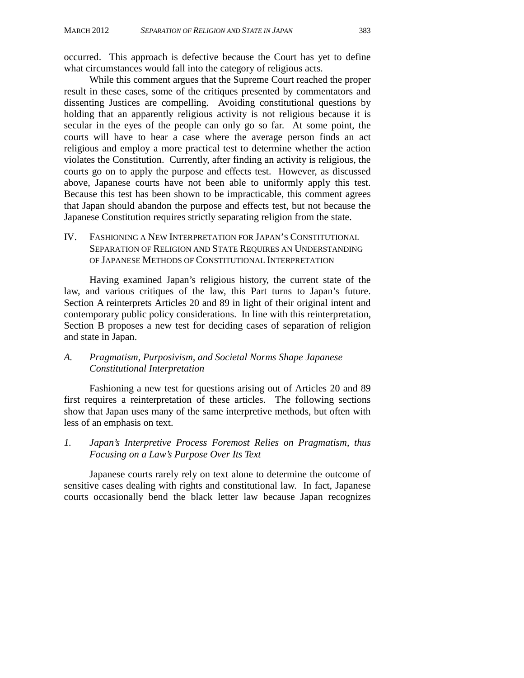occurred. This approach is defective because the Court has yet to define what circumstances would fall into the category of religious acts.

While this comment argues that the Supreme Court reached the proper result in these cases, some of the critiques presented by commentators and dissenting Justices are compelling. Avoiding constitutional questions by holding that an apparently religious activity is not religious because it is secular in the eyes of the people can only go so far. At some point, the courts will have to hear a case where the average person finds an act religious and employ a more practical test to determine whether the action violates the Constitution. Currently, after finding an activity is religious, the courts go on to apply the purpose and effects test. However, as discussed above, Japanese courts have not been able to uniformly apply this test. Because this test has been shown to be impracticable, this comment agrees that Japan should abandon the purpose and effects test, but not because the Japanese Constitution requires strictly separating religion from the state.

IV. FASHIONING A NEW INTERPRETATION FOR JAPAN'S CONSTITUTIONAL SEPARATION OF RELIGION AND STATE REQUIRES AN UNDERSTANDING OF JAPANESE METHODS OF CONSTITUTIONAL INTERPRETATION

Having examined Japan's religious history, the current state of the law, and various critiques of the law, this Part turns to Japan's future. Section A reinterprets Articles 20 and 89 in light of their original intent and contemporary public policy considerations. In line with this reinterpretation, Section B proposes a new test for deciding cases of separation of religion and state in Japan.

#### *A. Pragmatism, Purposivism, and Societal Norms Shape Japanese Constitutional Interpretation*

Fashioning a new test for questions arising out of Articles 20 and 89 first requires a reinterpretation of these articles. The following sections show that Japan uses many of the same interpretive methods, but often with less of an emphasis on text.

*1. Japan's Interpretive Process Foremost Relies on Pragmatism, thus Focusing on a Law's Purpose Over Its Text* 

Japanese courts rarely rely on text alone to determine the outcome of sensitive cases dealing with rights and constitutional law. In fact, Japanese courts occasionally bend the black letter law because Japan recognizes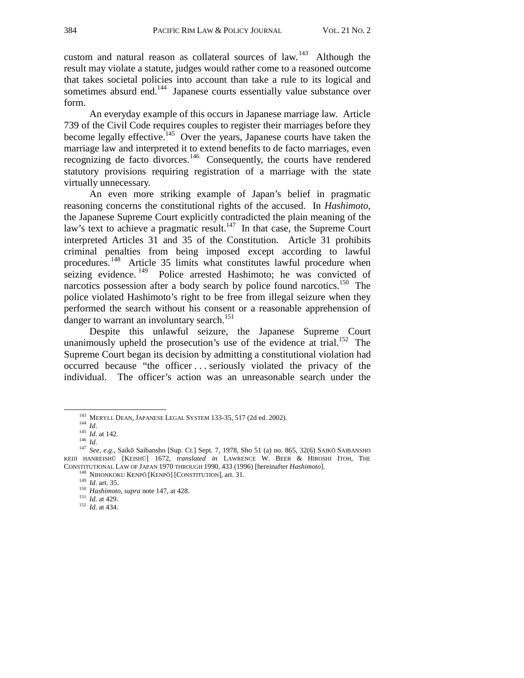custom and natural reason as collateral sources of law.<sup>143</sup> Although the result may violate a statute, judges would rather come to a reasoned outcome that takes societal policies into account than take a rule to its logical and sometimes absurd end.<sup>144</sup> Japanese courts essentially value substance over form.

An everyday example of this occurs in Japanese marriage law. Article 739 of the Civil Code requires couples to register their marriages before they become legally effective.<sup>145</sup> Over the years, Japanese courts have taken the marriage law and interpreted it to extend benefits to de facto marriages, even recognizing de facto divorces.<sup>146</sup> Consequently, the courts have rendered statutory provisions requiring registration of a marriage with the state virtually unnecessary.

An even more striking example of Japan's belief in pragmatic reasoning concerns the constitutional rights of the accused. In *Hashimoto*, the Japanese Supreme Court explicitly contradicted the plain meaning of the law's text to achieve a pragmatic result.<sup>147</sup> In that case, the Supreme Court interpreted Articles 31 and 35 of the Constitution. Article 31 prohibits criminal penalties from being imposed except according to lawful procedures.148 Article 35 limits what constitutes lawful procedure when seizing evidence.<sup>149</sup> Police arrested Hashimoto; he was convicted of narcotics possession after a body search by police found narcotics.<sup>150</sup> The police violated Hashimoto's right to be free from illegal seizure when they performed the search without his consent or a reasonable apprehension of danger to warrant an involuntary search.<sup>151</sup>

Despite this unlawful seizure, the Japanese Supreme Court unanimously upheld the prosecution's use of the evidence at trial.<sup>152</sup> The Supreme Court began its decision by admitting a constitutional violation had occurred because "the officer . . . seriously violated the privacy of the individual. The officer's action was an unreasonable search under the

<sup>143</sup> MERYLL DEAN, JAPANESE LEGAL SYSTEM 133-35, 517 (2d ed. 2002).<br><sup>144</sup> *Id.* 145 *Id.* at 142.<br><sup>146</sup> *Id.* 147 *See, e.g.*, Saikō Saibansho [Sup. Ct.] Sept. 7, 1978, Sho 51 (a) no. 865, 32(6) SAIKŌ SAIBANSHO KEIJI HANREISHŪ [KEISHŪ] 1672, *translated in* LAWRENCE W. BEER & HIROSHI ITOH, THE CONSTITUTIONAL LAW OF JAPAN 1970 THROUGH 1990, 433 (1996) [hereinafter *Hashimoto*].<br><sup>148</sup> NIHONKOKU KENPŌ [KENPŌ] [CONSTITUTION], art. 31.<br><sup>149</sup> *Id.* art. 35.<br><sup>150</sup> *Hashimoto*, *supra* note 147, at 428.<br><sup>151</sup> *Id.* at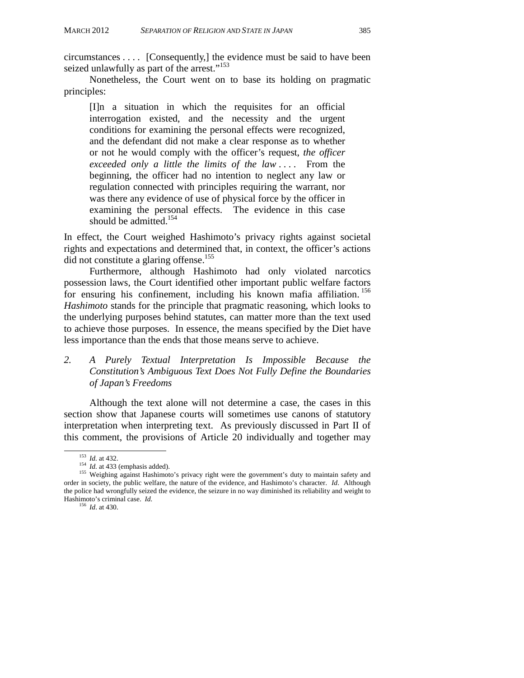circumstances . . . . [Consequently,] the evidence must be said to have been seized unlawfully as part of the arrest."<sup>153</sup>

Nonetheless, the Court went on to base its holding on pragmatic principles:

[I]n a situation in which the requisites for an official interrogation existed, and the necessity and the urgent conditions for examining the personal effects were recognized, and the defendant did not make a clear response as to whether or not he would comply with the officer's request, *the officer exceeded only a little the limits of the law* . . . . From the beginning, the officer had no intention to neglect any law or regulation connected with principles requiring the warrant, nor was there any evidence of use of physical force by the officer in examining the personal effects. The evidence in this case should be admitted.<sup>154</sup>

In effect, the Court weighed Hashimoto's privacy rights against societal rights and expectations and determined that, in context, the officer's actions did not constitute a glaring offense.<sup>155</sup>

Furthermore, although Hashimoto had only violated narcotics possession laws, the Court identified other important public welfare factors for ensuring his confinement, including his known mafia affiliation.<sup>156</sup> *Hashimoto* stands for the principle that pragmatic reasoning, which looks to the underlying purposes behind statutes, can matter more than the text used to achieve those purposes. In essence, the means specified by the Diet have less importance than the ends that those means serve to achieve.

*2. A Purely Textual Interpretation Is Impossible Because the Constitution's Ambiguous Text Does Not Fully Define the Boundaries of Japan's Freedoms* 

Although the text alone will not determine a case, the cases in this section show that Japanese courts will sometimes use canons of statutory interpretation when interpreting text. As previously discussed in Part II of this comment, the provisions of Article 20 individually and together may

<sup>&</sup>lt;sup>153</sup> *Id.* at 432.<br><sup>154</sup> *Id.* at 433 (emphasis added).<br><sup>155</sup> Weighing against Hashimoto's privacy right were the government's duty to maintain safety and order in society, the public welfare, the nature of the evidence, and Hashimoto's character. *Id*. Although the police had wrongfully seized the evidence, the seizure in no way diminished its reliability and weight to Hashimoto's criminal case. *Id.* <sup>156</sup> *Id.* at 430.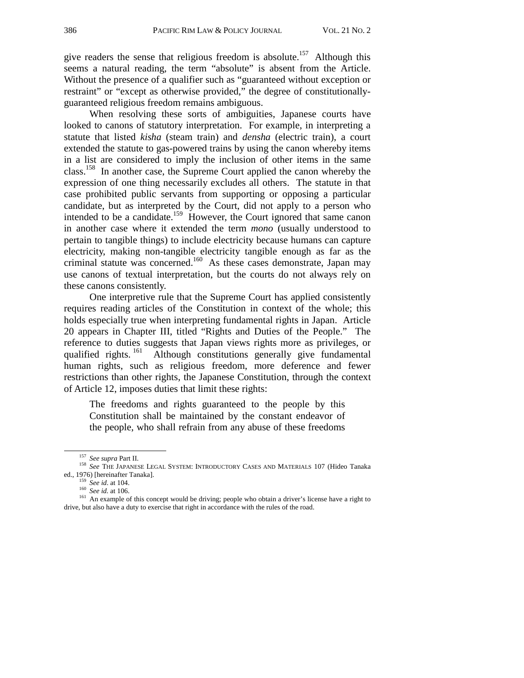give readers the sense that religious freedom is absolute.<sup>157</sup> Although this seems a natural reading, the term "absolute" is absent from the Article. Without the presence of a qualifier such as "guaranteed without exception or restraint" or "except as otherwise provided," the degree of constitutionallyguaranteed religious freedom remains ambiguous.

When resolving these sorts of ambiguities, Japanese courts have looked to canons of statutory interpretation. For example, in interpreting a statute that listed *kisha* (steam train) and *densha* (electric train), a court extended the statute to gas-powered trains by using the canon whereby items in a list are considered to imply the inclusion of other items in the same class.158 In another case, the Supreme Court applied the canon whereby the expression of one thing necessarily excludes all others. The statute in that case prohibited public servants from supporting or opposing a particular candidate, but as interpreted by the Court, did not apply to a person who intended to be a candidate.<sup>159</sup> However, the Court ignored that same canon in another case where it extended the term *mono* (usually understood to pertain to tangible things) to include electricity because humans can capture electricity, making non-tangible electricity tangible enough as far as the criminal statute was concerned.<sup>160</sup> As these cases demonstrate, Japan may use canons of textual interpretation, but the courts do not always rely on these canons consistently.

One interpretive rule that the Supreme Court has applied consistently requires reading articles of the Constitution in context of the whole; this holds especially true when interpreting fundamental rights in Japan. Article 20 appears in Chapter III, titled "Rights and Duties of the People." The reference to duties suggests that Japan views rights more as privileges, or qualified rights.<sup>161</sup> Although constitutions generally give fundamental human rights, such as religious freedom, more deference and fewer restrictions than other rights, the Japanese Constitution, through the context of Article 12, imposes duties that limit these rights:

The freedoms and rights guaranteed to the people by this Constitution shall be maintained by the constant endeavor of the people, who shall refrain from any abuse of these freedoms

<sup>&</sup>lt;sup>157</sup> *See supra* Part II.<br><sup>158</sup> *See THE JAPANESE LEGAL SYSTEM: INTRODUCTORY CASES AND MATERIALS 107 (Hideo Tanaka ed., 1976) [hereinafter Tanaka].* 

<sup>&</sup>lt;sup>159</sup> *See id.* at 104.<br><sup>160</sup> *See id.* at 106.<br><sup>161</sup> An example of this concept would be driving; people who obtain a driver's license have a right to drive, but also have a duty to exercise that right in accordance with the rules of the road.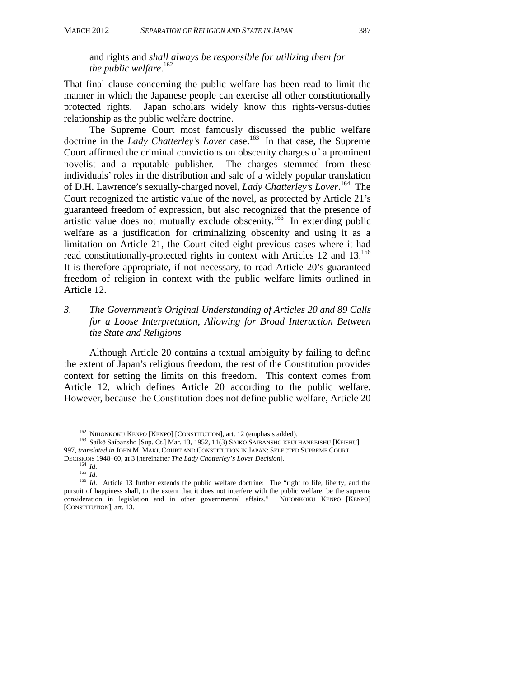and rights and *shall always be responsible for utilizing them for the public welfare*. 162

That final clause concerning the public welfare has been read to limit the manner in which the Japanese people can exercise all other constitutionally protected rights. Japan scholars widely know this rights-versus-duties relationship as the public welfare doctrine.

The Supreme Court most famously discussed the public welfare doctrine in the *Lady Chatterley's Lover* case.163 In that case, the Supreme Court affirmed the criminal convictions on obscenity charges of a prominent novelist and a reputable publisher. The charges stemmed from these individuals' roles in the distribution and sale of a widely popular translation of D.H. Lawrence's sexually-charged novel, *Lady Chatterley's Lover*. 164 The Court recognized the artistic value of the novel, as protected by Article 21's guaranteed freedom of expression, but also recognized that the presence of artistic value does not mutually exclude obscenity.<sup>165</sup> In extending public welfare as a justification for criminalizing obscenity and using it as a limitation on Article 21, the Court cited eight previous cases where it had read constitutionally-protected rights in context with Articles 12 and 13.<sup>166</sup> It is therefore appropriate, if not necessary, to read Article 20's guaranteed freedom of religion in context with the public welfare limits outlined in Article 12.

#### *3. The Government's Original Understanding of Articles 20 and 89 Calls for a Loose Interpretation, Allowing for Broad Interaction Between the State and Religions*

Although Article 20 contains a textual ambiguity by failing to define the extent of Japan's religious freedom, the rest of the Constitution provides context for setting the limits on this freedom. This context comes from Article 12, which defines Article 20 according to the public welfare. However, because the Constitution does not define public welfare, Article 20

<sup>&</sup>lt;sup>162</sup> NIHONKOKU KENPŌ [KENPŌ] [CONSTITUTION], art. 12 (emphasis added).<br><sup>163</sup> Saikō Saibansho [Sup. Ct.] Mar. 13, 1952, 11(3) SAIKŌ SAIBANSHO KEIJI HANREISHŪ [KEISHŪ] 997, *translated in* JOHN M. MAKI, COURT AND CONSTITUTION IN JAPAN: SELECTED SUPREME COURT

DECISIONS 1948–60, at 3 [hereinafter *The Lady Chatterley's Lover Decision*].<br><sup>164</sup> *Id.*<br><sup>165</sup> *Id.* Article 13 further extends the public welfare doctrine: The "right to life, liberty, and the<br><sup>166</sup> *Id.* Article 13 furt pursuit of happiness shall, to the extent that it does not interfere with the public welfare, be the supreme consideration in legislation and in other governmental affairs." NIHONKOKU KENPŌ [KENPŌ] [CONSTITUTION], art. 13.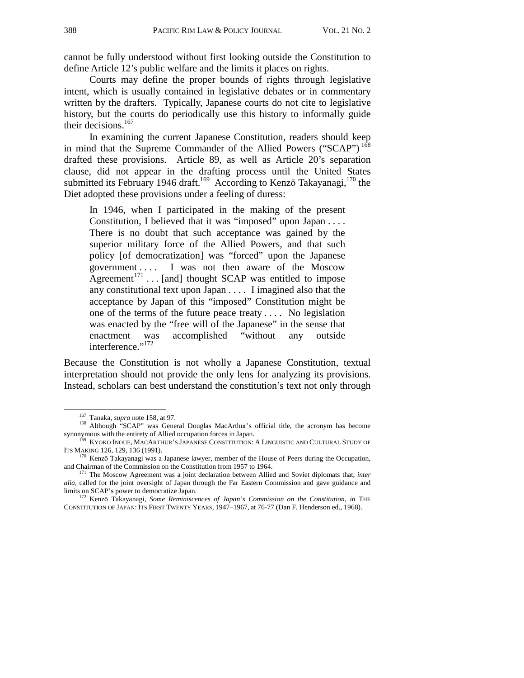cannot be fully understood without first looking outside the Constitution to define Article 12's public welfare and the limits it places on rights.

Courts may define the proper bounds of rights through legislative intent, which is usually contained in legislative debates or in commentary written by the drafters. Typically, Japanese courts do not cite to legislative history, but the courts do periodically use this history to informally guide their decisions.<sup>167</sup>

In examining the current Japanese Constitution, readers should keep in mind that the Supreme Commander of the Allied Powers ("SCAP")<sup>168</sup> drafted these provisions. Article 89, as well as Article 20's separation clause, did not appear in the drafting process until the United States submitted its February 1946 draft.<sup>169</sup> According to Kenzō Takayanagi,<sup>170</sup> the Diet adopted these provisions under a feeling of duress:

In 1946, when I participated in the making of the present Constitution, I believed that it was "imposed" upon Japan . . . . There is no doubt that such acceptance was gained by the superior military force of the Allied Powers, and that such policy [of democratization] was "forced" upon the Japanese government . . . . I was not then aware of the Moscow Agreement<sup>171</sup> . . . [and] thought SCAP was entitled to impose any constitutional text upon Japan . . . . I imagined also that the acceptance by Japan of this "imposed" Constitution might be one of the terms of the future peace treaty . . . . No legislation was enacted by the "free will of the Japanese" in the sense that enactment was accomplished "without any outside interference."<sup>172</sup>

Because the Constitution is not wholly a Japanese Constitution, textual interpretation should not provide the only lens for analyzing its provisions. Instead, scholars can best understand the constitution's text not only through

<sup>&</sup>lt;sup>167</sup> Tanaka, *supra* note 158, at 97.<br><sup>168</sup> Although "SCAP" was General Douglas MacArthur's official title, the acronym has become synonymous with the entirety of Allied occupation forces in Japan.

 $169$  KYOKO INOUE, MACARTHUR'S JAPANESE CONSTITUTION: A LINGUISTIC AND CULTURAL STUDY OF ITS MAKING 126, 129, 136 (1991).

 $170$  Kenzō Takayanagi was a Japanese lawyer, member of the House of Peers during the Occupation, and Chairman of the Commission on the Constitution from 1957 to 1964.

<sup>&</sup>lt;sup>171</sup> The Moscow Agreement was a joint declaration between Allied and Soviet diplomats that, *inter alia*, called for the joint oversight of Japan through the Far Eastern Commission and gave guidance and limits on SCAP's power to democratize Japan.

<sup>&</sup>lt;sup>172</sup> Kenzō Takayanagi, *Some Reminiscences of Japan's Commission on the Constitution*, *in* THE CONSTITUTION OF JAPAN: ITS FIRST TWENTY YEARS, 1947–1967, at 76-77 (Dan F. Henderson ed., 1968).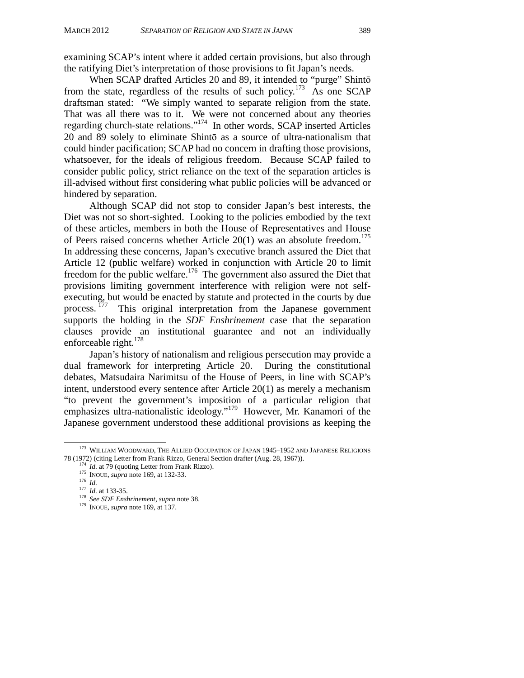examining SCAP's intent where it added certain provisions, but also through the ratifying Diet's interpretation of those provisions to fit Japan's needs.

When SCAP drafted Articles 20 and 89, it intended to "purge" Shintō from the state, regardless of the results of such policy.<sup>173</sup> As one SCAP draftsman stated: "We simply wanted to separate religion from the state. That was all there was to it. We were not concerned about any theories regarding church-state relations."<sup>174</sup> In other words, SCAP inserted Articles 20 and 89 solely to eliminate Shintō as a source of ultra-nationalism that could hinder pacification; SCAP had no concern in drafting those provisions, whatsoever, for the ideals of religious freedom. Because SCAP failed to consider public policy, strict reliance on the text of the separation articles is ill-advised without first considering what public policies will be advanced or hindered by separation.

Although SCAP did not stop to consider Japan's best interests, the Diet was not so short-sighted. Looking to the policies embodied by the text of these articles, members in both the House of Representatives and House of Peers raised concerns whether Article  $20(1)$  was an absolute freedom.<sup>175</sup> In addressing these concerns, Japan's executive branch assured the Diet that Article 12 (public welfare) worked in conjunction with Article 20 to limit freedom for the public welfare.<sup>176</sup> The government also assured the Diet that provisions limiting government interference with religion were not selfexecuting, but would be enacted by statute and protected in the courts by due process.<sup>177</sup> This original interpretation from the Japanese government supports the holding in the *SDF Enshrinement* case that the separation clauses provide an institutional guarantee and not an individually enforceable right.<sup>178</sup>

Japan's history of nationalism and religious persecution may provide a dual framework for interpreting Article 20. During the constitutional debates, Matsudaira Narimitsu of the House of Peers, in line with SCAP's intent, understood every sentence after Article 20(1) as merely a mechanism "to prevent the government's imposition of a particular religion that emphasizes ultra-nationalistic ideology."179 However, Mr. Kanamori of the Japanese government understood these additional provisions as keeping the

 <sup>173</sup> WILLIAM WOODWARD, THE ALLIED OCCUPATION OF JAPAN 1945–1952 AND JAPANESE RELIGIONS 78 (1972) (citing Letter from Frank Rizzo, General Section drafter (Aug. 28, 1967)).<br>
<sup>174</sup> *Id.* at 79 (quoting Letter from Frank Rizzo).<br>
<sup>175</sup> INOUE, *supra* note 169, at 132-33.<br>
<sup>176</sup> *Id.*<br>
<sup>177</sup> *Id.* at 133-35.<br>
<sup></sup>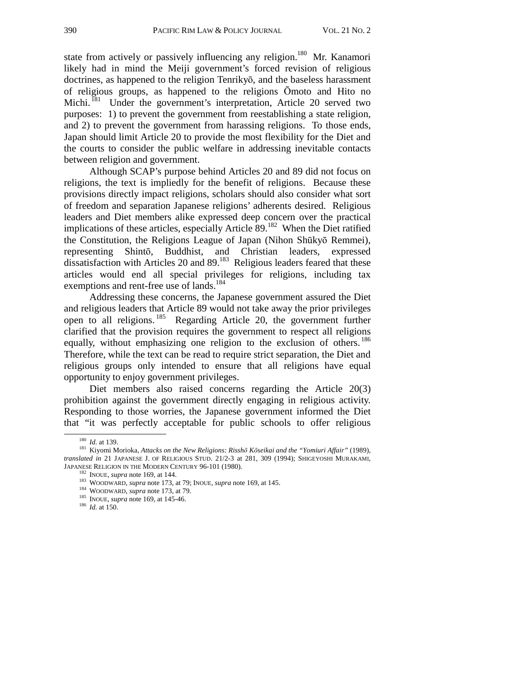state from actively or passively influencing any religion.<sup>180</sup> Mr. Kanamori likely had in mind the Meiji government's forced revision of religious doctrines, as happened to the religion Tenrikyō, and the baseless harassment of religious groups, as happened to the religions Ōmoto and Hito no Michi.<sup>181</sup> Under the government's interpretation, Article 20 served two purposes: 1) to prevent the government from reestablishing a state religion, and 2) to prevent the government from harassing religions. To those ends, Japan should limit Article 20 to provide the most flexibility for the Diet and the courts to consider the public welfare in addressing inevitable contacts between religion and government.

Although SCAP's purpose behind Articles 20 and 89 did not focus on religions, the text is impliedly for the benefit of religions. Because these provisions directly impact religions, scholars should also consider what sort of freedom and separation Japanese religions' adherents desired. Religious leaders and Diet members alike expressed deep concern over the practical implications of these articles, especially Article  $89<sup>182</sup>$  When the Diet ratified the Constitution, the Religions League of Japan (Nihon Shūkyō Remmei), representing Shintō, Buddhist, and Christian leaders, expressed dissatisfaction with Articles 20 and 89.183 Religious leaders feared that these articles would end all special privileges for religions, including tax exemptions and rent-free use of lands.<sup>184</sup>

Addressing these concerns, the Japanese government assured the Diet and religious leaders that Article 89 would not take away the prior privileges open to all religions.<sup>185</sup> Regarding Article 20, the government further clarified that the provision requires the government to respect all religions equally, without emphasizing one religion to the exclusion of others.<sup>186</sup> Therefore, while the text can be read to require strict separation, the Diet and religious groups only intended to ensure that all religions have equal opportunity to enjoy government privileges.

Diet members also raised concerns regarding the Article 20(3) prohibition against the government directly engaging in religious activity. Responding to those worries, the Japanese government informed the Diet that "it was perfectly acceptable for public schools to offer religious

<sup>180</sup>*Id.* at 139. 181 Kiyomi Morioka, *Attacks on the New Religions: Risshō Kōseikai and the "Yomiuri Affair"* (1989), *translated in* 21 JAPANESE J. OF RELIGIOUS STUD. 21/2-3 at 281, 309 (1994); SHIGEYOSHI MURAKAMI, JAPANESE RELIGION IN THE MODERN CENTURY 96-101 (1980).

<sup>&</sup>lt;sup>182</sup> INOUE, *supra* note 169, at 144.<br><sup>183</sup> WOODWARD, *supra* note 173, at 79; INOUE, *supra* note 169, at 145.<br><sup>184</sup> WOODWARD, *supra* note 173, at 79.<br><sup>185</sup> INOUE, *supra* note 169, at 145-46.<br><sup>186</sup> Id. at 150.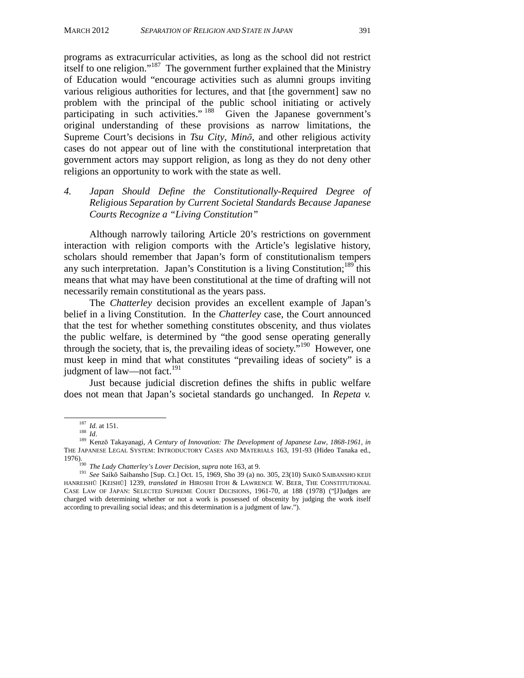programs as extracurricular activities, as long as the school did not restrict itself to one religion."<sup>187</sup> The government further explained that the Ministry of Education would "encourage activities such as alumni groups inviting various religious authorities for lectures, and that [the government] saw no problem with the principal of the public school initiating or actively participating in such activities."  $188 \text{ Given}$  the Japanese government's original understanding of these provisions as narrow limitations, the Supreme Court's decisions in *Tsu City*, *Minō*, and other religious activity cases do not appear out of line with the constitutional interpretation that government actors may support religion, as long as they do not deny other religions an opportunity to work with the state as well.

*4. Japan Should Define the Constitutionally-Required Degree of Religious Separation by Current Societal Standards Because Japanese Courts Recognize a "Living Constitution"* 

Although narrowly tailoring Article 20's restrictions on government interaction with religion comports with the Article's legislative history, scholars should remember that Japan's form of constitutionalism tempers any such interpretation. Japan's Constitution is a living Constitution;<sup>189</sup> this means that what may have been constitutional at the time of drafting will not necessarily remain constitutional as the years pass.

The *Chatterley* decision provides an excellent example of Japan's belief in a living Constitution. In the *Chatterley* case, the Court announced that the test for whether something constitutes obscenity, and thus violates the public welfare, is determined by "the good sense operating generally through the society, that is, the prevailing ideas of society."<sup>190</sup> However, one must keep in mind that what constitutes "prevailing ideas of society" is a judgment of law—not fact.<sup>191</sup>

Just because judicial discretion defines the shifts in public welfare does not mean that Japan's societal standards go unchanged. In *Repeta v.* 

<sup>&</sup>lt;sup>187</sup> *Id.* at 151.<br><sup>188</sup> *Id.* 189 *Id.* 189 Kenzō Takayanagi, *A Century of Innovation: The Development of Japanese Law, 1868-1961*, *in* THE JAPANESE LEGAL SYSTEM: INTRODUCTORY CASES AND MATERIALS 163, 191-93 (Hideo Tanaka ed., 1976). 190 *The Lady Chatterley's Lover Decision*, *supra* note 163, at 9. 191 *See* Saikō Saibansho [Sup. Ct.] Oct. 15, 1969, Sho 39 (a) no. 305, 23(10) SAIK<sup>Ō</sup> SAIBANSHO KEIJI

HANREISHŪ [KEISHŪ] 1239, *translated in* HIROSHI ITOH & LAWRENCE W. BEER, THE CONSTITUTIONAL CASE LAW OF JAPAN: SELECTED SUPREME COURT DECISIONS, 1961-70, at 188 (1978) ("[J]udges are charged with determining whether or not a work is possessed of obscenity by judging the work itself according to prevailing social ideas; and this determination is a judgment of law.").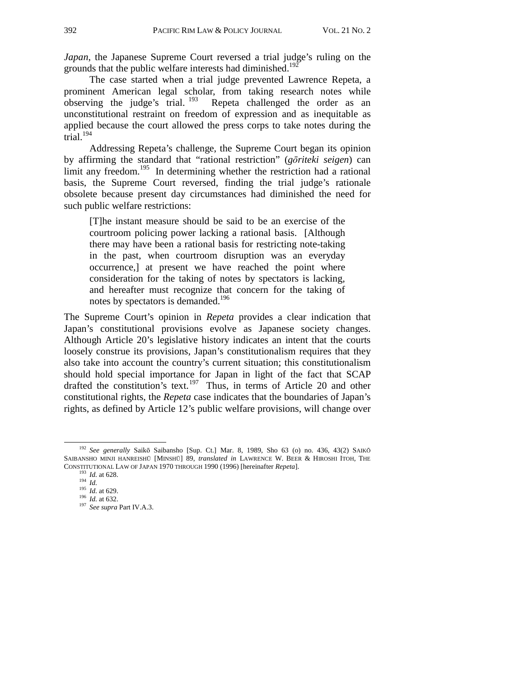*Japan*, the Japanese Supreme Court reversed a trial judge's ruling on the grounds that the public welfare interests had diminished.<sup>192</sup>

The case started when a trial judge prevented Lawrence Repeta, a prominent American legal scholar, from taking research notes while observing the judge's trial.  $^{193}$  Repeta challenged the order as an unconstitutional restraint on freedom of expression and as inequitable as applied because the court allowed the press corps to take notes during the  $\arctan 194$ 

Addressing Repeta's challenge, the Supreme Court began its opinion by affirming the standard that "rational restriction" (*gōriteki seigen*) can limit any freedom.<sup>195</sup> In determining whether the restriction had a rational basis, the Supreme Court reversed, finding the trial judge's rationale obsolete because present day circumstances had diminished the need for such public welfare restrictions:

[T]he instant measure should be said to be an exercise of the courtroom policing power lacking a rational basis. [Although there may have been a rational basis for restricting note-taking in the past, when courtroom disruption was an everyday occurrence,] at present we have reached the point where consideration for the taking of notes by spectators is lacking, and hereafter must recognize that concern for the taking of notes by spectators is demanded.<sup>196</sup>

The Supreme Court's opinion in *Repeta* provides a clear indication that Japan's constitutional provisions evolve as Japanese society changes. Although Article 20's legislative history indicates an intent that the courts loosely construe its provisions, Japan's constitutionalism requires that they also take into account the country's current situation; this constitutionalism should hold special importance for Japan in light of the fact that SCAP drafted the constitution's text.197 Thus, in terms of Article 20 and other constitutional rights, the *Repeta* case indicates that the boundaries of Japan's rights, as defined by Article 12's public welfare provisions, will change over

 <sup>192</sup> *See generally* Saikō Saibansho [Sup. Ct.] Mar. 8, 1989, Sho 63 (o) no. 436, 43(2) SAIK<sup>Ō</sup> SAIBANSHO MINJI HANREISHŪ [MINSHŪ] 89, *translated in* LAWRENCE W. BEER & HIROSHI ITOH, THE CONSTITUTIONAL LAW OF JAPAN 1970 THROUGH 1990 (1996) [hereinafter *Repeta*].<br>
<sup>193</sup> *Id.* at 628.<br>
<sup>194</sup> *Id.* at 629.<br>
<sup>196</sup> *Id.* at 632.<br>
<sup>197</sup> *See supra* Part IV.A.3.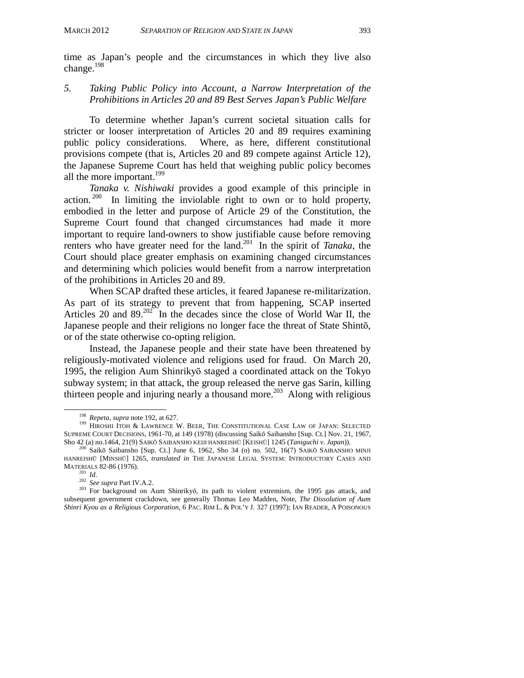time as Japan's people and the circumstances in which they live also change.<sup>198</sup>

#### *5. Taking Public Policy into Account, a Narrow Interpretation of the Prohibitions in Articles 20 and 89 Best Serves Japan's Public Welfare*

To determine whether Japan's current societal situation calls for stricter or looser interpretation of Articles 20 and 89 requires examining public policy considerations. Where, as here, different constitutional provisions compete (that is, Articles 20 and 89 compete against Article 12), the Japanese Supreme Court has held that weighing public policy becomes all the more important.<sup>199</sup>

*Tanaka v. Nishiwaki* provides a good example of this principle in action.<sup>200</sup> In limiting the inviolable right to own or to hold property, embodied in the letter and purpose of Article 29 of the Constitution, the Supreme Court found that changed circumstances had made it more important to require land-owners to show justifiable cause before removing renters who have greater need for the land.<sup>201</sup> In the spirit of *Tanaka*, the Court should place greater emphasis on examining changed circumstances and determining which policies would benefit from a narrow interpretation of the prohibitions in Articles 20 and 89.

When SCAP drafted these articles, it feared Japanese re-militarization. As part of its strategy to prevent that from happening, SCAP inserted Articles 20 and 89.<sup>202</sup> In the decades since the close of World War II, the Japanese people and their religions no longer face the threat of State Shintō, or of the state otherwise co-opting religion.

Instead, the Japanese people and their state have been threatened by religiously-motivated violence and religions used for fraud. On March 20, 1995, the religion Aum Shinrikyō staged a coordinated attack on the Tokyo subway system; in that attack, the group released the nerve gas Sarin, killing thirteen people and injuring nearly a thousand more.<sup>203</sup> Along with religious

<sup>&</sup>lt;sup>198</sup> Repeta, *supra* note 192, at 627.<br><sup>199</sup> HIROSHI ITOH & LAWRENCE W. BEER, THE CONSTITUTIONAL CASE LAW OF JAPAN: SELECTED SUPREME COURT DECISIONS, 1961-70, at 149 (1978) (discussing Saikō Saibansho [Sup. Ct.] Nov. 21, 1967, Sho 42 (a) no.1464, 21(9) SAIKŌ SAIBANSHO KEIJI HANREISHŪ [KEISHŪ] 1245 (*Taniguchi v. Japan*)).<br><sup>200</sup> Saikō Saibansho [Sup. Ct.] June 6, 1962, Sho 34 (o) no. 502, 16(7) SAIKŌ SAIBANSHO MINJI

HANREISHŪ [MINSHŪ] 1265, *translated in* THE JAPANESE LEGAL SYSTEM: INTRODUCTORY CASES AND MATERIALS 82-86 (1976).

MATERIALS 82-86 (1976).<br><sup>201</sup> *Id.*<br><sup>202</sup> *See supra* Part IV.A.2.<br><sup>203</sup> For background on Aum Shinrikyō, its path to violent extremism, the 1995 gas attack, and subsequent government crackdown, see generally Thomas Leo Madden, Note, *The Dissolution of Aum Shinri Kyou as a Religious Corporation*, 6 PAC. RIM L. & POL'Y J. 327 (1997); IAN READER, A POISONOUS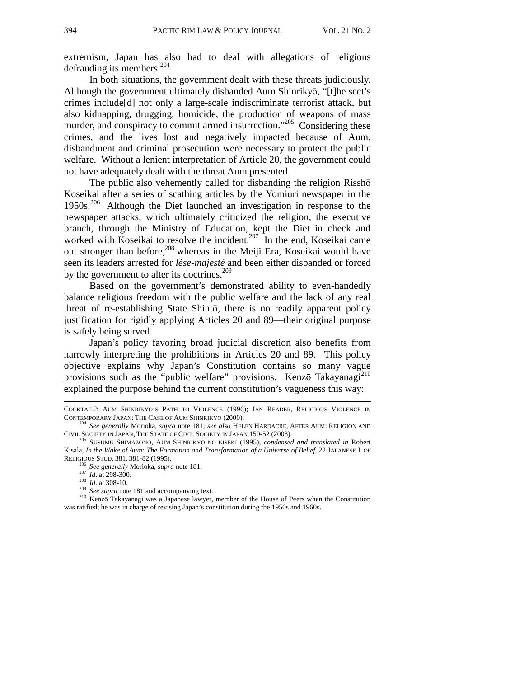extremism, Japan has also had to deal with allegations of religions defrauding its members.<sup>204</sup>

In both situations, the government dealt with these threats judiciously. Although the government ultimately disbanded Aum Shinrikyō, "[t]he sect's crimes include[d] not only a large-scale indiscriminate terrorist attack, but also kidnapping, drugging, homicide, the production of weapons of mass murder, and conspiracy to commit armed insurrection."<sup>205</sup> Considering these crimes, and the lives lost and negatively impacted because of Aum, disbandment and criminal prosecution were necessary to protect the public welfare. Without a lenient interpretation of Article 20, the government could not have adequately dealt with the threat Aum presented.

The public also vehemently called for disbanding the religion Risshō Koseikai after a series of scathing articles by the Yomiuri newspaper in the  $1950s$ .<sup>206</sup> Although the Diet launched an investigation in response to the newspaper attacks, which ultimately criticized the religion, the executive branch, through the Ministry of Education, kept the Diet in check and worked with Koseikai to resolve the incident.<sup>207</sup> In the end, Koseikai came out stronger than before,<sup>208</sup> whereas in the Meiji Era, Koseikai would have seen its leaders arrested for *lèse-majesté* and been either disbanded or forced by the government to alter its doctrines.<sup>209</sup>

Based on the government's demonstrated ability to even-handedly balance religious freedom with the public welfare and the lack of any real threat of re-establishing State Shintō, there is no readily apparent policy justification for rigidly applying Articles 20 and 89—their original purpose is safely being served.

Japan's policy favoring broad judicial discretion also benefits from narrowly interpreting the prohibitions in Articles 20 and 89. This policy objective explains why Japan's Constitution contains so many vague provisions such as the "public welfare" provisions. Kenzō Takayanagi<sup>210</sup> explained the purpose behind the current constitution's vagueness this way:

j

COCKTAIL?: AUM SHINRIKYO'S PATH TO VIOLENCE (1996); IAN READER, RELIGIOUS VIOLENCE IN CONTEMPORARY JAPAN: THE CASE OF AUM SHINRIKYO (2000). 204 *See generally* Morioka, *supra* note 181; *see also* HELEN HARDACRE, AFTER AUM: RELIGION AND

CIVIL SOCIETY IN JAPAN, THE STATE OF CIVIL SOCIETY IN JAPAN 150-52 (2003). 205 SUSUMU SHIMAZONO, AUM SHINRIKYŌ NO KISEKI (1995), *condensed and translated in* Robert

Kisala, *In the Wake of Aum: The Formation and Transformation of a Universe of Belief*, 22 JAPANESE J. OF RELIGIOUS STUD. 381, 381-82 (1995).<br>
<sup>206</sup> See generally Morioka, *supra* note 181.<br>
<sup>207</sup> *Id.* at 298-300.<br>
<sup>208</sup> *Id.* at 308-10.<br>
<sup>209</sup> See supra note 181 and accompanying text.<br>
<sup>210</sup> Kenzō Takayanagi was a Japanese

was ratified; he was in charge of revising Japan's constitution during the 1950s and 1960s.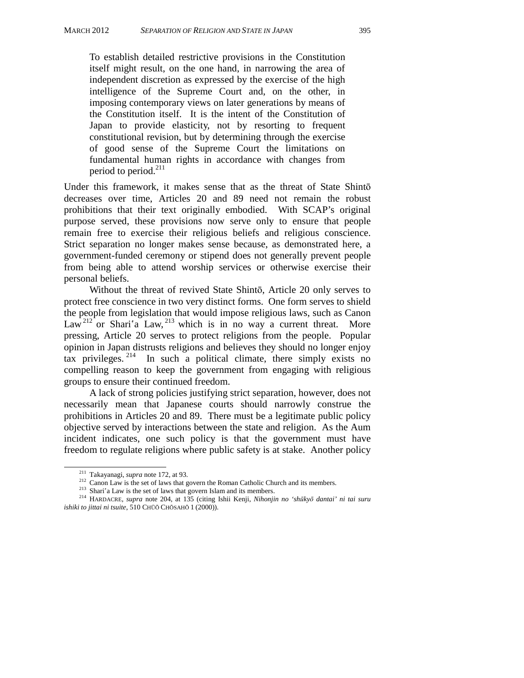To establish detailed restrictive provisions in the Constitution itself might result, on the one hand, in narrowing the area of independent discretion as expressed by the exercise of the high intelligence of the Supreme Court and, on the other, in imposing contemporary views on later generations by means of the Constitution itself. It is the intent of the Constitution of Japan to provide elasticity, not by resorting to frequent constitutional revision, but by determining through the exercise of good sense of the Supreme Court the limitations on fundamental human rights in accordance with changes from period to period.<sup>211</sup>

Under this framework, it makes sense that as the threat of State Shintō decreases over time, Articles 20 and 89 need not remain the robust prohibitions that their text originally embodied. With SCAP's original purpose served, these provisions now serve only to ensure that people remain free to exercise their religious beliefs and religious conscience. Strict separation no longer makes sense because, as demonstrated here, a government-funded ceremony or stipend does not generally prevent people from being able to attend worship services or otherwise exercise their personal beliefs.

Without the threat of revived State Shintō, Article 20 only serves to protect free conscience in two very distinct forms. One form serves to shield the people from legislation that would impose religious laws, such as Canon Law<sup>212</sup> or Shari'a Law, <sup>213</sup> which is in no way a current threat. More pressing, Article 20 serves to protect religions from the people. Popular opinion in Japan distrusts religions and believes they should no longer enjoy tax privileges.  $2^{14}$  In such a political climate, there simply exists no compelling reason to keep the government from engaging with religious groups to ensure their continued freedom.

A lack of strong policies justifying strict separation, however, does not necessarily mean that Japanese courts should narrowly construe the prohibitions in Articles 20 and 89. There must be a legitimate public policy objective served by interactions between the state and religion. As the Aum incident indicates, one such policy is that the government must have freedom to regulate religions where public safety is at stake. Another policy

<sup>&</sup>lt;sup>211</sup> Takayanagi, *supra* note 172, at 93.<br><sup>212</sup> Canon Law is the set of laws that govern the Roman Catholic Church and its members.<br><sup>213</sup> Shari'a Law is the set of laws that govern Islam and its members.<br><sup>213</sup> HARDACRE, *ishiki to jittai ni tsuite*, 510 CHŪŌ CHŌSAHŌ 1 (2000)).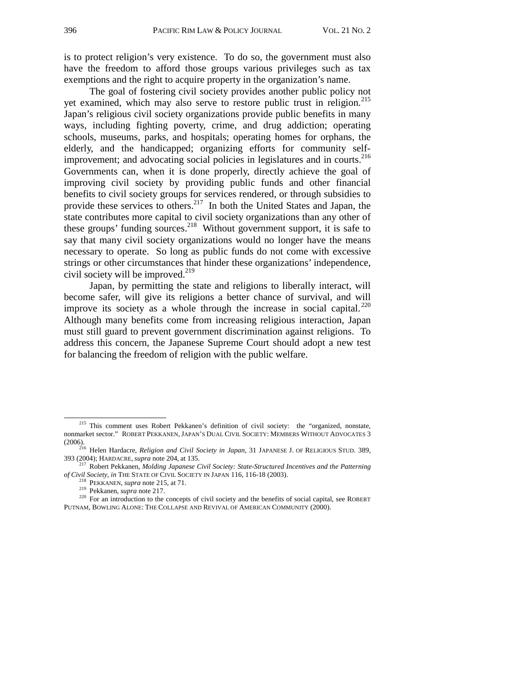is to protect religion's very existence. To do so, the government must also have the freedom to afford those groups various privileges such as tax exemptions and the right to acquire property in the organization's name.

The goal of fostering civil society provides another public policy not yet examined, which may also serve to restore public trust in religion.<sup>215</sup> Japan's religious civil society organizations provide public benefits in many ways, including fighting poverty, crime, and drug addiction; operating schools, museums, parks, and hospitals; operating homes for orphans, the elderly, and the handicapped; organizing efforts for community selfimprovement; and advocating social policies in legislatures and in courts.<sup>216</sup> Governments can, when it is done properly, directly achieve the goal of improving civil society by providing public funds and other financial benefits to civil society groups for services rendered, or through subsidies to provide these services to others.<sup>217</sup> In both the United States and Japan, the state contributes more capital to civil society organizations than any other of these groups' funding sources.<sup>218</sup> Without government support, it is safe to say that many civil society organizations would no longer have the means necessary to operate. So long as public funds do not come with excessive strings or other circumstances that hinder these organizations' independence, civil society will be improved. $^{219}$ 

Japan, by permitting the state and religions to liberally interact, will become safer, will give its religions a better chance of survival, and will improve its society as a whole through the increase in social capital. $^{220}$ Although many benefits come from increasing religious interaction, Japan must still guard to prevent government discrimination against religions. To address this concern, the Japanese Supreme Court should adopt a new test for balancing the freedom of religion with the public welfare.

<sup>&</sup>lt;sup>215</sup> This comment uses Robert Pekkanen's definition of civil society: the "organized, nonstate, nonmarket sector." ROBERT PEKKANEN, JAPAN'S DUAL CIVIL SOCIETY: MEMBERS WITHOUT ADVOCATES 3

<sup>(2006). 216</sup> Helen Hardacre, *Religion and Civil Society in Japan*, 31 JAPANESE J. OF RELIGIOUS STUD. 389,

<sup>393 (2004);</sup> HARDACRE, *supra* note 204, at 135. 217 Robert Pekkanen, *Molding Japanese Civil Society: State-Structured Incentives and the Patterning* 

<sup>&</sup>lt;sup>218</sup> PEKKANEN, *supra* note 215, at 71.<br><sup>219</sup> Pekkanen, *supra* note 217.<br><sup>219</sup> Pekkanen, *supra* note 217.<br><sup>220</sup> For an introduction to the concepts of civil society and the benefits of social capital, see ROBERT PUTNAM, BOWLING ALONE: THE COLLAPSE AND REVIVAL OF AMERICAN COMMUNITY (2000).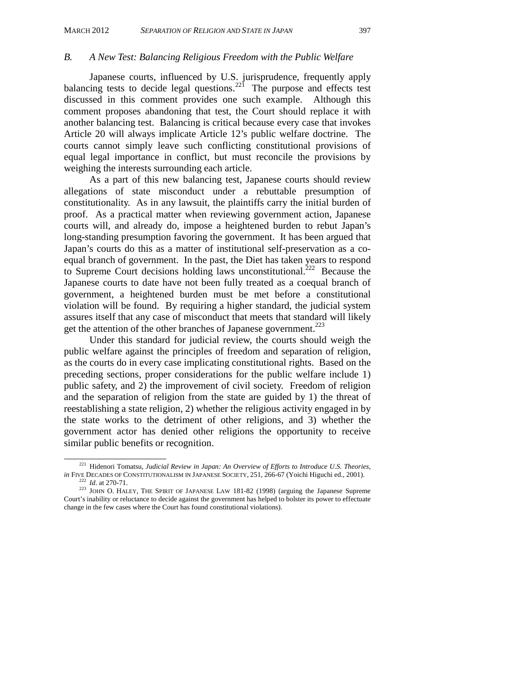#### *B. A New Test: Balancing Religious Freedom with the Public Welfare*

Japanese courts, influenced by U.S. jurisprudence, frequently apply balancing tests to decide legal questions.<sup>221</sup> The purpose and effects test discussed in this comment provides one such example. Although this comment proposes abandoning that test, the Court should replace it with another balancing test. Balancing is critical because every case that invokes Article 20 will always implicate Article 12's public welfare doctrine. The courts cannot simply leave such conflicting constitutional provisions of equal legal importance in conflict, but must reconcile the provisions by weighing the interests surrounding each article.

As a part of this new balancing test, Japanese courts should review allegations of state misconduct under a rebuttable presumption of constitutionality. As in any lawsuit, the plaintiffs carry the initial burden of proof. As a practical matter when reviewing government action, Japanese courts will, and already do, impose a heightened burden to rebut Japan's long-standing presumption favoring the government. It has been argued that Japan's courts do this as a matter of institutional self-preservation as a coequal branch of government. In the past, the Diet has taken years to respond to Supreme Court decisions holding laws unconstitutional.<sup>222</sup> Because the Japanese courts to date have not been fully treated as a coequal branch of government, a heightened burden must be met before a constitutional violation will be found. By requiring a higher standard, the judicial system assures itself that any case of misconduct that meets that standard will likely get the attention of the other branches of Japanese government.<sup>223</sup>

Under this standard for judicial review, the courts should weigh the public welfare against the principles of freedom and separation of religion, as the courts do in every case implicating constitutional rights. Based on the preceding sections, proper considerations for the public welfare include 1) public safety, and 2) the improvement of civil society. Freedom of religion and the separation of religion from the state are guided by 1) the threat of reestablishing a state religion, 2) whether the religious activity engaged in by the state works to the detriment of other religions, and 3) whether the government actor has denied other religions the opportunity to receive similar public benefits or recognition.

<sup>&</sup>lt;sup>221</sup> Hidenori Tomatsu, *Judicial Review in Japan: An Overview of Efforts to Introduce U.S. Theories*, *in* FIVE DECADES OF CONSTITUTIONALISM IN JAPANESE SOCIETY, 251, 266-67 (Yoichi Higuchi ed., 2001). <sup>222</sup> Id. at 270-71.<br><sup>223</sup> JOHN O. HALEY, THE SPIRIT OF JAPANESE LAW 181-82 (1998) (arguing the Japanese Supreme

Court's inability or reluctance to decide against the government has helped to bolster its power to effectuate change in the few cases where the Court has found constitutional violations).